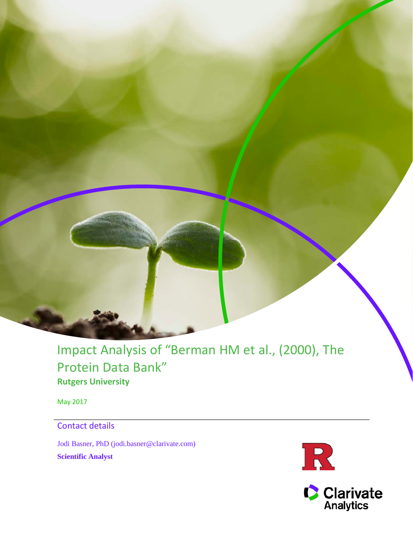Impact Analysis of "Berman HM et al., (2000), The Protein Data Bank" **Rutgers University**

May 2017

# Contact details

Jodi Basner, PhD (jodi.basner@clarivate.com) **Scientific Analyst**



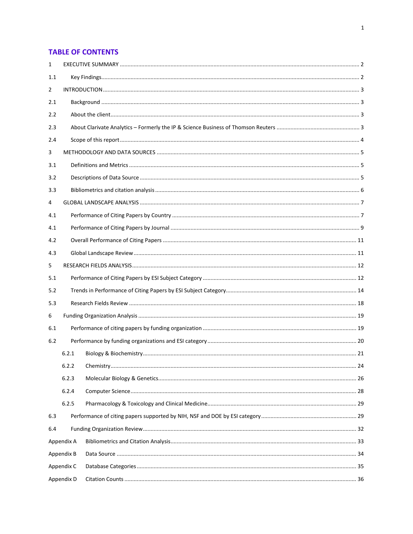### **TABLE OF CONTENTS**

| 1   |            |  |
|-----|------------|--|
| 1.1 |            |  |
| 2   |            |  |
| 2.1 |            |  |
| 2.2 |            |  |
| 2.3 |            |  |
| 2.4 |            |  |
| 3   |            |  |
| 3.1 |            |  |
| 3.2 |            |  |
| 3.3 |            |  |
| 4   |            |  |
| 4.1 |            |  |
| 4.1 |            |  |
| 4.2 |            |  |
| 4.3 |            |  |
| 5   |            |  |
| 5.1 |            |  |
| 5.2 |            |  |
| 5.3 |            |  |
| 6   |            |  |
| 6.1 |            |  |
| 6.2 |            |  |
|     | 6.2.1      |  |
|     | 6.2.2      |  |
|     | 6.2.3      |  |
|     | 6.2.4      |  |
|     | 6.2.5      |  |
| 6.3 |            |  |
| 6.4 |            |  |
|     | Appendix A |  |
|     | Appendix B |  |
|     | Appendix C |  |
|     | Appendix D |  |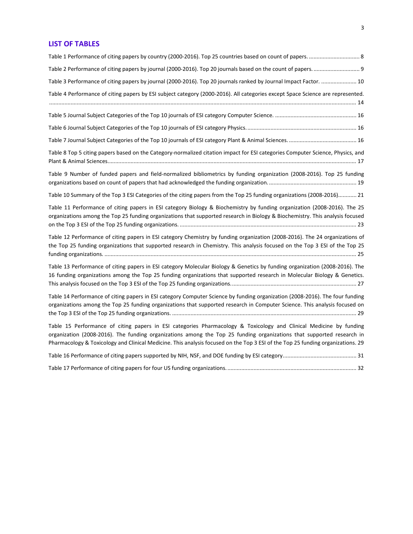#### **LIST OF TABLES**

| Table 3 Performance of citing papers by journal (2000-2016). Top 20 journals ranked by Journal Impact Factor.  10                                                                                                                                                                                                                                                              |  |
|--------------------------------------------------------------------------------------------------------------------------------------------------------------------------------------------------------------------------------------------------------------------------------------------------------------------------------------------------------------------------------|--|
| Table 4 Performance of citing papers by ESI subject category (2000-2016). All categories except Space Science are represented.                                                                                                                                                                                                                                                 |  |
|                                                                                                                                                                                                                                                                                                                                                                                |  |
|                                                                                                                                                                                                                                                                                                                                                                                |  |
|                                                                                                                                                                                                                                                                                                                                                                                |  |
| Table 8 Top 5 citing papers based on the Category-normalized citation impact for ESI categories Computer Science, Physics, and                                                                                                                                                                                                                                                 |  |
| Table 9 Number of funded papers and field-normalized bibliometrics by funding organization (2008-2016). Top 25 funding                                                                                                                                                                                                                                                         |  |
| Table 10 Summary of the Top 3 ESI Categories of the citing papers from the Top 25 funding organizations (2008-2016) 21                                                                                                                                                                                                                                                         |  |
| Table 11 Performance of citing papers in ESI category Biology & Biochemistry by funding organization (2008-2016). The 25<br>organizations among the Top 25 funding organizations that supported research in Biology & Biochemistry. This analysis focused                                                                                                                      |  |
| Table 12 Performance of citing papers in ESI category Chemistry by funding organization (2008-2016). The 24 organizations of<br>the Top 25 funding organizations that supported research in Chemistry. This analysis focused on the Top 3 ESI of the Top 25                                                                                                                    |  |
| Table 13 Performance of citing papers in ESI category Molecular Biology & Genetics by funding organization (2008-2016). The<br>16 funding organizations among the Top 25 funding organizations that supported research in Molecular Biology & Genetics.                                                                                                                        |  |
| Table 14 Performance of citing papers in ESI category Computer Science by funding organization (2008-2016). The four funding<br>organizations among the Top 25 funding organizations that supported research in Computer Science. This analysis focused on                                                                                                                     |  |
| Table 15 Performance of citing papers in ESI categories Pharmacology & Toxicology and Clinical Medicine by funding<br>organization (2008-2016). The funding organizations among the Top 25 funding organizations that supported research in<br>Pharmacology & Toxicology and Clinical Medicine. This analysis focused on the Top 3 ESI of the Top 25 funding organizations. 29 |  |
|                                                                                                                                                                                                                                                                                                                                                                                |  |
|                                                                                                                                                                                                                                                                                                                                                                                |  |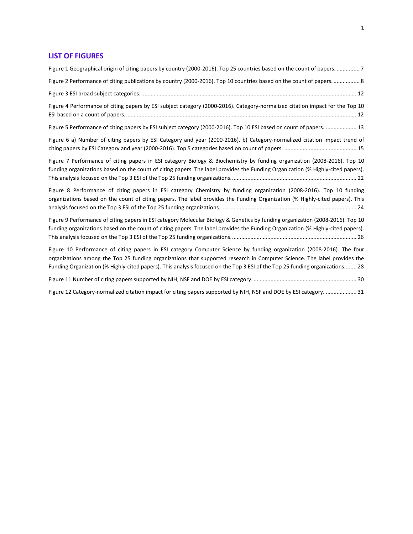#### **LIST OF FIGURES**

| Figure 1 Geographical origin of citing papers by country (2000-2016). Top 25 countries based on the count of papers.  7                                                                                                                                                                                                                                                          |
|----------------------------------------------------------------------------------------------------------------------------------------------------------------------------------------------------------------------------------------------------------------------------------------------------------------------------------------------------------------------------------|
| Figure 2 Performance of citing publications by country (2000-2016). Top 10 countries based on the count of papers 8                                                                                                                                                                                                                                                              |
|                                                                                                                                                                                                                                                                                                                                                                                  |
| Figure 4 Performance of citing papers by ESI subject category (2000-2016). Category-normalized citation impact for the Top 10                                                                                                                                                                                                                                                    |
| Figure 5 Performance of citing papers by ESI subject category (2000-2016). Top 10 ESI based on count of papers.  13                                                                                                                                                                                                                                                              |
| Figure 6 a) Number of citing papers by ESI Category and year (2000-2016). b) Category-normalized citation impact trend of                                                                                                                                                                                                                                                        |
| Figure 7 Performance of citing papers in ESI category Biology & Biochemistry by funding organization (2008-2016). Top 10<br>funding organizations based on the count of citing papers. The label provides the Funding Organization (% Highly-cited papers).                                                                                                                      |
| Figure 8 Performance of citing papers in ESI category Chemistry by funding organization (2008-2016). Top 10 funding<br>organizations based on the count of citing papers. The label provides the Funding Organization (% Highly-cited papers). This                                                                                                                              |
| Figure 9 Performance of citing papers in ESI category Molecular Biology & Genetics by funding organization (2008-2016). Top 10<br>funding organizations based on the count of citing papers. The label provides the Funding Organization (% Highly-cited papers).                                                                                                                |
| Figure 10 Performance of citing papers in ESI category Computer Science by funding organization (2008-2016). The four<br>organizations among the Top 25 funding organizations that supported research in Computer Science. The label provides the<br>Funding Organization (% Highly-cited papers). This analysis focused on the Top 3 ESI of the Top 25 funding organizations 28 |
|                                                                                                                                                                                                                                                                                                                                                                                  |
| Figure 12 Category-normalized citation impact for citing papers supported by NIH, NSF and DOE by ESI category.  31                                                                                                                                                                                                                                                               |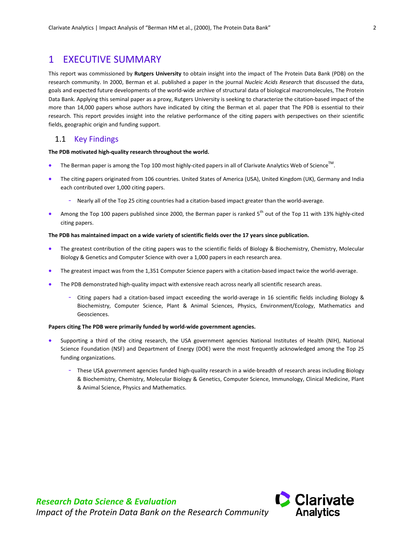## <span id="page-5-0"></span>1 EXECUTIVE SUMMARY

This report was commissioned by **Rutgers University** to obtain insight into the impact of The Protein Data Bank (PDB) on the research community. In 2000, Berman et al. published a paper in the journal *Nucleic Acids Research* that discussed the data, goals and expected future developments of the world-wide archive of structural data of biological macromolecules, The Protein Data Bank. Applying this seminal paper as a proxy, Rutgers University is seeking to characterize the citation-based impact of the more than 14,000 papers whose authors have indicated by citing the Berman et al. paper that The PDB is essential to their research. This report provides insight into the relative performance of the citing papers with perspectives on their scientific fields, geographic origin and funding support.

#### <span id="page-5-1"></span>1.1 Key Findings

#### **The PDB motivated high-quality research throughout the world.**

- The Berman paper is among the Top 100 most highly-cited papers in all of Clarivate Analytics Web of Science<sup>TM</sup>.
- The citing papers originated from 106 countries. United States of America (USA), United Kingdom (UK), Germany and India each contributed over 1,000 citing papers.
	- Nearly all of the Top 25 citing countries had a citation-based impact greater than the world-average.
- Among the Top 100 papers published since 2000, the Berman paper is ranked  $5<sup>th</sup>$  out of the Top 11 with 13% highly-cited citing papers.

#### **The PDB has maintained impact on a wide variety of scientific fields over the 17 years since publication.**

- The greatest contribution of the citing papers was to the scientific fields of Biology & Biochemistry, Chemistry, Molecular Biology & Genetics and Computer Science with over a 1,000 papers in each research area.
- The greatest impact was from the 1,351 Computer Science papers with a citation-based impact twice the world-average.
- The PDB demonstrated high-quality impact with extensive reach across nearly all scientific research areas.
	- Citing papers had a citation-based impact exceeding the world-average in 16 scientific fields including Biology & Biochemistry, Computer Science, Plant & Animal Sciences, Physics, Environment/Ecology, Mathematics and Geosciences.

#### **Papers citing The PDB were primarily funded by world-wide government agencies.**

- Supporting a third of the citing research, the USA government agencies National Institutes of Health (NIH), National Science Foundation (NSF) and Department of Energy (DOE) were the most frequently acknowledged among the Top 25 funding organizations.
	- These USA government agencies funded high-quality research in a wide-breadth of research areas including Biology & Biochemistry, Chemistry, Molecular Biology & Genetics, Computer Science, Immunology, Clinical Medicine, Plant & Animal Science, Physics and Mathematics.

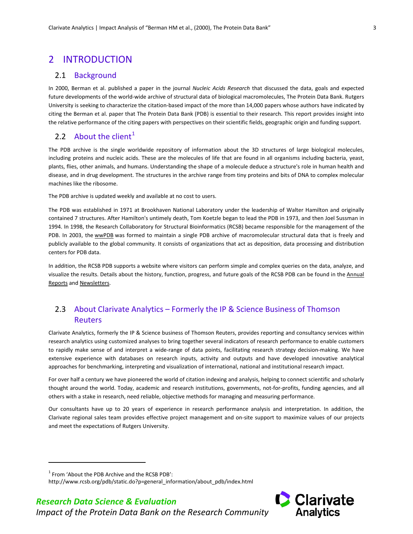## <span id="page-6-0"></span>2 INTRODUCTION

#### <span id="page-6-1"></span>2.1 Background

In 2000, Berman et al. published a paper in the journal *Nucleic Acids Research* that discussed the data, goals and expected future developments of the world-wide archive of structural data of biological macromolecules, The Protein Data Bank. Rutgers University is seeking to characterize the citation-based impact of the more than 14,000 papers whose authors have indicated by citing the Berman et al. paper that The Protein Data Bank (PDB) is essential to their research. This report provides insight into the relative performance of the citing papers with perspectives on their scientific fields, geographic origin and funding support.

## <span id="page-6-2"></span>2.2 About the client<sup>[1](#page-6-4)</sup>

The PDB archive is the single worldwide repository of information about the 3D structures of large biological molecules, including proteins and nucleic acids. These are the molecules of life that are found in all organisms including bacteria, yeast, plants, flies, other animals, and humans. Understanding the shape of a molecule deduce a structure's role in human health and disease, and in drug development. The structures in the archive range from tiny proteins and bits of DNA to complex molecular machines like the ribosome.

The PDB archive is updated weekly and available at no cost to users.

The PDB was established in 1971 at Brookhaven National Laboratory under the leadership of Walter Hamilton and originally contained 7 structures. After Hamilton's untimely death, Tom Koetzle began to lead the PDB in 1973, and then Joel Sussman in 1994. In 1998, the Research Collaboratory for Structural Bioinformatics (RCSB) became responsible for the management of the PDB. In 2003, the [wwPDB](http://wwpdb.org/) was formed to maintain a single PDB archive of macromolecular structural data that is freely and publicly available to the global community. It consists of organizations that act as deposition, data processing and distribution centers for PDB data.

In addition, the RCSB PDB supports a website where visitors can perform simple and complex queries on the data, analyze, and visualize the results. Details about the history, function, progress, and future goals of the RCSB PDB can be found in the [Annual](http://www.rcsb.org/pdb/static.do?p=general_information/news_publications/index.jsp)  [Reports](http://www.rcsb.org/pdb/static.do?p=general_information/news_publications/index.jsp) and [Newsletters.](http://www.rcsb.org/pdb/static.do?p=general_information/news_publications/newsletters/newsletter.html)

## <span id="page-6-3"></span>2.3 About Clarivate Analytics – Formerly the IP & Science Business of Thomson Reuters

Clarivate Analytics, formerly the IP & Science business of Thomson Reuters, provides reporting and consultancy services within research analytics using customized analyses to bring together several indicators of research performance to enable customers to rapidly make sense of and interpret a wide-range of data points, facilitating research strategy decision-making. We have extensive experience with databases on research inputs, activity and outputs and have developed innovative analytical approaches for benchmarking, interpreting and visualization of international, national and institutional research impact.

For over half a century we have pioneered the world of citation indexing and analysis, helping to connect scientific and scholarly thought around the world. Today, academic and research institutions, governments, not-for-profits, funding agencies, and all others with a stake in research, need reliable, objective methods for managing and measuring performance.

Our consultants have up to 20 years of experience in research performance analysis and interpretation. In addition, the Clarivate regional sales team provides effective project management and on-site support to maximize values of our projects and meet the expectations of Rutgers University.

<span id="page-6-4"></span> $1$  From 'About the PDB Archive and the RCSB PDB':

1



http://www.rcsb.org/pdb/static.do?p=general\_information/about\_pdb/index.html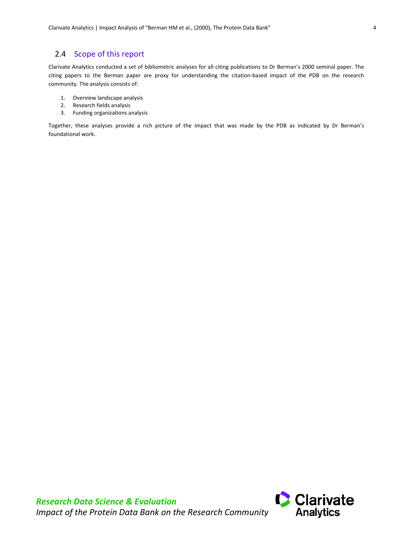## <span id="page-7-0"></span>2.4 Scope of this report

Clarivate Analytics conducted a set of bibliometric analyses for all citing publications to Dr Berman's 2000 seminal paper. The citing papers to the Berman paper are proxy for understanding the citation-based impact of the PDB on the research community. The analysis consists of:

- 1. Overview landscape analysis
- 2. Research fields analysis
- 3. Funding organizations analysis

Together, these analyses provide a rich picture of the impact that was made by the PDB as indicated by Dr Berman's foundational work.

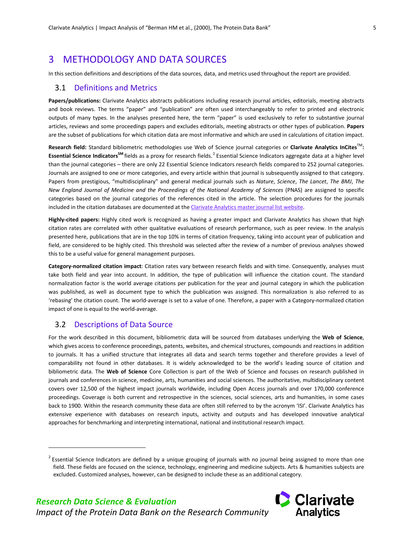# <span id="page-8-0"></span>3 METHODOLOGY AND DATA SOURCES

In this section definitions and descriptions of the data sources, data, and metrics used throughout the report are provided.

#### <span id="page-8-1"></span>3.1 Definitions and Metrics

**Papers/publications:** Clarivate Analytics abstracts publications including research journal articles, editorials, meeting abstracts and book reviews. The terms "paper" and "publication" are often used interchangeably to refer to printed and electronic outputs of many types. In the analyses presented here, the term "paper" is used exclusively to refer to substantive journal articles, reviews and some proceedings papers and excludes editorials, meeting abstracts or other types of publication. **Papers** are the subset of publications for which citation data are most informative and which are used in calculations of citation impact.

<span id="page-8-4"></span>**Research field:** Standard bibliometric methodologies use Web of Science journal categories or **Clarivate Analytics InCites**TM**: Essential Science IndicatorsSM** fields as a proxy for research fields.[2](#page-8-3) Essential Science Indicators aggregate data at a higher level than the journal categories – there are only 22 Essential Science Indicators research fields compared to 252 journal categories. Journals are assigned to one or more categories, and every article within that journal is subsequently assigned to that category. Papers from prestigious, "multidisciplinary" and general medical journals such as *Nature*, *Science*, *The Lancet*, *The BMJ*, *The New England Journal of Medicine and the Proceedings of the National Academy of Sciences* (PNAS) are assigned to specific categories based on the journal categories of the references cited in the article. The selection procedures for the journals included in the citation databases are documented at the Clarivate Analytics master journal list website.

**Highly-cited papers:** Highly cited work is recognized as having a greater impact and Clarivate Analytics has shown that high citation rates are correlated with other qualitative evaluations of research performance, such as peer review. In the analysis presented here, publications that are in the top 10% in terms of citation frequency, taking into account year of publication and field, are considered to be highly cited. This threshold was selected after the review of a number of previous analyses showed this to be a useful value for general management purposes.

**Category-normalized citation impact**: Citation rates vary between research fields and with time. Consequently, analyses must take both field and year into account. In addition, the type of publication will influence the citation count. The standard normalization factor is the world average citations per publication for the year and journal category in which the publication was published, as well as document type to which the publication was assigned. This normalization is also referred to as 'rebasing' the citation count. The world-average is set to a value of one. Therefore, a paper with a Category-normalized citation impact of one is equal to the world-average.

#### <span id="page-8-2"></span>3.2 Descriptions of Data Source

1

For the work described in this document, bibliometric data will be sourced from databases underlying the **Web of Science**, which gives access to conference proceedings, patents, websites, and chemical structures, compounds and reactions in addition to journals. It has a unified structure that integrates all data and search terms together and therefore provides a level of comparability not found in other databases. It is widely acknowledged to be the world's leading source of citation and bibliometric data. The **Web of Science** Core Collection is part of the Web of Science and focuses on research published in journals and conferences in science, medicine, arts, humanities and social sciences. The authoritative, multidisciplinary content covers over 12,500 of the highest impact journals worldwide, including Open Access journals and over 170,000 conference proceedings. Coverage is both current and retrospective in the sciences, social sciences, arts and humanities, in some cases back to 1900. Within the research community these data are often still referred to by the acronym 'ISI'. Clarivate Analytics has extensive experience with databases on research inputs, activity and outputs and has developed innovative analytical approaches for benchmarking and interpreting international, national and institutional research impact.

<span id="page-8-3"></span> $2$  Essential Science Indicators are defined by a unique grouping of journals with no journal being assigned to more than one field. These fields are focused on the science, technology, engineering and medicine subjects. Arts & humanities subjects are excluded. Customized analyses, however, can be designed to include these as an additional category.

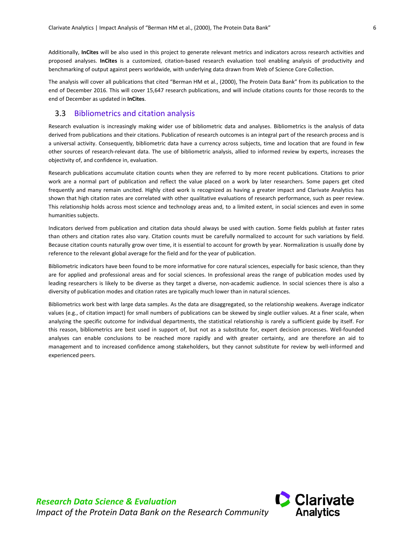Additionally, **InCites** will be also used in this project to generate relevant metrics and indicators across research activities and proposed analyses. **InCites** is a customized, citation-based research evaluation tool enabling analysis of productivity and benchmarking of output against peers worldwide, with underlying data drawn from Web of Science Core Collection.

The analysis will cover all publications that cited "Berman HM et al., (2000), The Protein Data Bank" from its publication to the end of December 2016. This will cover 15,647 research publications, and will include citations counts for those records to the end of December as updated in **InCites**.

#### <span id="page-9-0"></span>3.3 Bibliometrics and citation analysis

Research evaluation is increasingly making wider use of bibliometric data and analyses. Bibliometrics is the analysis of data derived from publications and their citations. Publication of research outcomes is an integral part of the research process and is a universal activity. Consequently, bibliometric data have a currency across subjects, time and location that are found in few other sources of research-relevant data. The use of bibliometric analysis, allied to informed review by experts, increases the objectivity of, and confidence in, evaluation.

Research publications accumulate citation counts when they are referred to by more recent publications. Citations to prior work are a normal part of publication and reflect the value placed on a work by later researchers. Some papers get cited frequently and many remain uncited. Highly cited work is recognized as having a greater impact and Clarivate Analytics has shown that high citation rates are correlated with other qualitative evaluations of research performance, such as peer review. This relationship holds across most science and technology areas and, to a limited extent, in social sciences and even in some humanities subjects.

Indicators derived from publication and citation data should always be used with caution. Some fields publish at faster rates than others and citation rates also vary. Citation counts must be carefully normalized to account for such variations by field. Because citation counts naturally grow over time, it is essential to account for growth by year. Normalization is usually done by reference to the relevant global average for the field and for the year of publication.

Bibliometric indicators have been found to be more informative for core natural sciences, especially for basic science, than they are for applied and professional areas and for social sciences. In professional areas the range of publication modes used by leading researchers is likely to be diverse as they target a diverse, non-academic audience. In social sciences there is also a diversity of publication modes and citation rates are typically much lower than in natural sciences.

Bibliometrics work best with large data samples. As the data are disaggregated, so the relationship weakens. Average indicator values (e.g., of citation impact) for small numbers of publications can be skewed by single outlier values. At a finer scale, when analyzing the specific outcome for individual departments, the statistical relationship is rarely a sufficient guide by itself. For this reason, bibliometrics are best used in support of, but not as a substitute for, expert decision processes. Well-founded analyses can enable conclusions to be reached more rapidly and with greater certainty, and are therefore an aid to management and to increased confidence among stakeholders, but they cannot substitute for review by well-informed and experienced peers.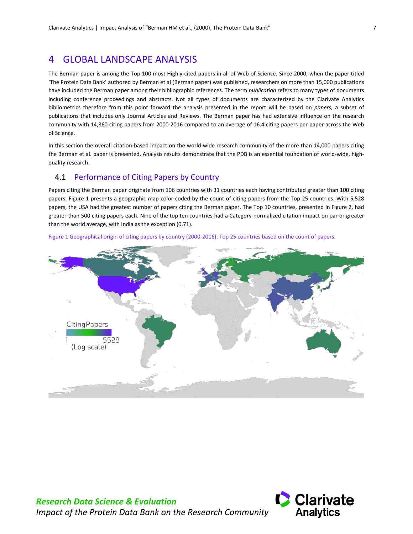## <span id="page-10-0"></span>4 GLOBAL LANDSCAPE ANALYSIS

The Berman paper is among the Top 100 most Highly-cited papers in all of Web of Science. Since 2000, when the paper titled 'The Protein Data Bank' authored by Berman et al (Berman paper) was published, researchers on more than 15,000 publications have included the Berman paper among their bibliographic references. The term *publication* refers to many types of documents including conference proceedings and abstracts. Not all types of documents are characterized by the Clarivate Analytics bibliometrics therefore from this point forward the analysis presented in the report will be based on *papers*, a subset of publications that includes only Journal Articles and Reviews. The Berman paper has had extensive influence on the research community with 14,860 citing papers from 2000-2016 compared to an average of 16.4 citing papers per paper across the Web of Science.

In this section the overall citation-based impact on the world-wide research community of the more than 14,000 papers citing the Berman et al. paper is presented. Analysis results demonstrate that the PDB is an essential foundation of world-wide, highquality research.

#### <span id="page-10-1"></span>4.1 Performance of Citing Papers by Country

Papers citing the Berman paper originate from 106 countries with 31 countries each having contributed greater than 100 citing papers. [Figure 1](#page-10-2) presents a geographic map color coded by the count of citing papers from the Top 25 countries. With 5,528 papers, the USA had the greatest number of papers citing the Berman paper. The Top 10 countries, presented in [Figure 2,](#page-11-1) had greater than 500 citing papers each. Nine of the top ten countries had a Category-normalized citation impact on par or greater than the world average, with India as the exception (0.71).



<span id="page-10-2"></span>Figure 1 Geographical origin of citing papers by country (2000-2016). Top 25 countries based on the count of papers.

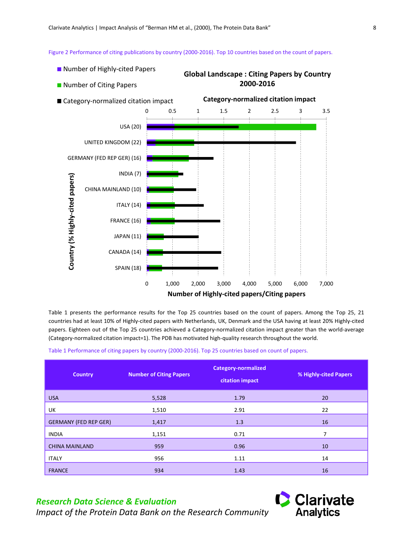<span id="page-11-1"></span>Figure 2 Performance of citing publications by country (2000-2016). Top 10 countries based on the count of papers.

- Number of Highly-cited Papers
- **Number of Citing Papers**

#### **Global Landscape : Citing Papers by Country 2000-2016**



[Table 1](#page-11-0) presents the performance results for the Top 25 countries based on the count of papers. Among the Top 25, 21 countries had at least 10% of Highly-cited papers with Netherlands, UK, Denmark and the USA having at least 20% Highly-cited papers. Eighteen out of the Top 25 countries achieved a Category-normalized citation impact greater than the world-average (Category-normalized citation impact=1). The PDB has motivated high-quality research throughout the world.

<span id="page-11-0"></span>Table 1 Performance of citing papers by country (2000-2016). Top 25 countries based on count of papers.

| <b>Country</b>               | <b>Number of Citing Papers</b> | <b>Category-normalized</b><br>citation impact | % Highly-cited Papers |
|------------------------------|--------------------------------|-----------------------------------------------|-----------------------|
| <b>USA</b>                   | 5,528                          | 1.79                                          | 20                    |
| UK                           | 1,510                          | 2.91                                          | 22                    |
| <b>GERMANY (FED REP GER)</b> | 1,417                          | 1.3                                           | 16                    |
| <b>INDIA</b>                 | 1,151                          | 0.71                                          | 7                     |
| <b>CHINA MAINLAND</b>        | 959                            | 0.96                                          | 10                    |
| <b>ITALY</b>                 | 956                            | 1.11                                          | 14                    |
| <b>FRANCE</b>                | 934                            | 1.43                                          | 16                    |

## *Research Data Science & Evaluation*

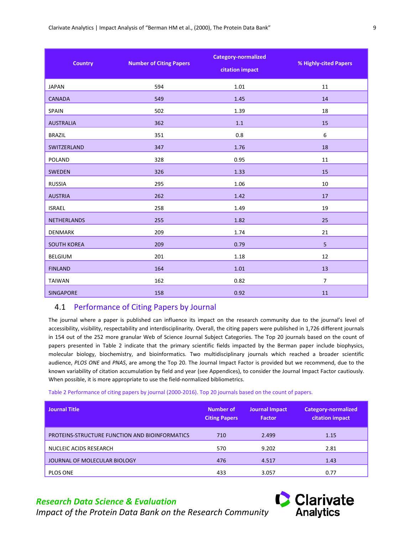| <b>Country</b>     | <b>Number of Citing Papers</b> | <b>Category-normalized</b><br>citation impact | % Highly-cited Papers |
|--------------------|--------------------------------|-----------------------------------------------|-----------------------|
| <b>JAPAN</b>       | 594                            | 1.01                                          | 11                    |
| <b>CANADA</b>      | 549                            | 1.45                                          | 14                    |
| SPAIN              | 502                            | 1.39                                          | 18                    |
| <b>AUSTRALIA</b>   | 362                            | $1.1\,$                                       | 15                    |
| <b>BRAZIL</b>      | 351                            | 0.8                                           | 6                     |
| SWITZERLAND        | 347                            | 1.76                                          | 18                    |
| <b>POLAND</b>      | 328                            | 0.95                                          | 11                    |
| <b>SWEDEN</b>      | 326                            | 1.33                                          | 15                    |
| <b>RUSSIA</b>      | 295                            | 1.06                                          | 10                    |
| <b>AUSTRIA</b>     | 262                            | 1.42                                          | 17                    |
| <b>ISRAEL</b>      | 258                            | 1.49                                          | 19                    |
| <b>NETHERLANDS</b> | 255                            | 1.82                                          | 25                    |
| <b>DENMARK</b>     | 209                            | 1.74                                          | 21                    |
| <b>SOUTH KOREA</b> | 209                            | 0.79                                          | $\overline{5}$        |
| <b>BELGIUM</b>     | 201                            | 1.18                                          | 12                    |
| <b>FINLAND</b>     | 164                            | $1.01$                                        | 13                    |
| <b>TAIWAN</b>      | 162                            | 0.82                                          | $\overline{7}$        |
| <b>SINGAPORE</b>   | 158                            | 0.92                                          | 11                    |

#### <span id="page-12-0"></span>4.1 Performance of Citing Papers by Journal

The journal where a paper is published can influence its impact on the research community due to the journal's level of accessibility, visibility, respectability and interdisciplinarity. Overall, the citing papers were published in 1,726 different journals in 154 out of the 252 more granular Web of Science Journal Subject Categories. The Top 20 journals based on the count of papers presented in [Table 2](#page-12-1) indicate that the primary scientific fields impacted by the Berman paper include biophysics, molecular biology, biochemistry, and bioinformatics. Two multidisciplinary journals which reached a broader scientific audience, *PLOS ONE* and *PNAS*, are among the Top 20. The Journal Impact Factor is provided but we recommend, due to the known variability of citation accumulation by field and year (see Appendices), to consider the Journal Impact Factor cautiously. When possible, it is more appropriate to use the field-normalized bibliometrics.

<span id="page-12-1"></span>Table 2 Performance of citing papers by journal (2000-2016). Top 20 journals based on the count of papers.

| <b>Journal Title</b>                           | Number of<br><b>Citing Papers</b> | Journal Impact<br><b>Factor</b> | <b>Category-normalized</b><br>citation impact |
|------------------------------------------------|-----------------------------------|---------------------------------|-----------------------------------------------|
| PROTEINS-STRUCTURE FUNCTION AND BIOINFORMATICS | 710                               | 2.499                           | 1.15                                          |
| NUCLEIC ACIDS RESEARCH                         | 570                               | 9.202                           | 2.81                                          |
| JOURNAL OF MOLECULAR BIOLOGY                   | 476                               | 4.517                           | 1.43                                          |
| PLOS ONE                                       | 433                               | 3.057                           | 0.77                                          |

#### *Research Data Science & Evaluation*

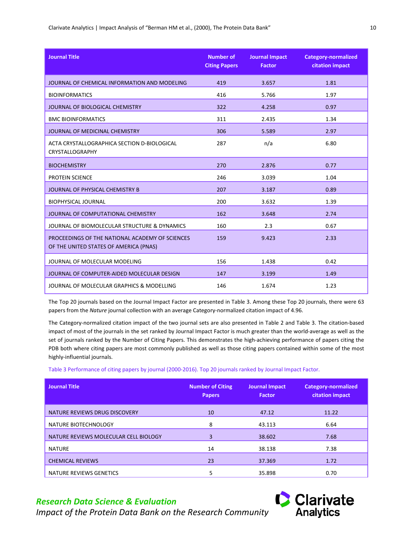| <b>Journal Title</b>                                                                      | <b>Number of</b><br><b>Citing Papers</b> | <b>Journal Impact</b><br><b>Factor</b> | <b>Category-normalized</b><br>citation impact |
|-------------------------------------------------------------------------------------------|------------------------------------------|----------------------------------------|-----------------------------------------------|
| JOURNAL OF CHEMICAL INFORMATION AND MODELING                                              | 419                                      | 3.657                                  | 1.81                                          |
| <b>BIOINFORMATICS</b>                                                                     | 416                                      | 5.766                                  | 1.97                                          |
| JOURNAL OF BIOLOGICAL CHEMISTRY                                                           | 322                                      | 4.258                                  | 0.97                                          |
| <b>BMC BIOINFORMATICS</b>                                                                 | 311                                      | 2.435                                  | 1.34                                          |
| JOURNAL OF MEDICINAL CHEMISTRY                                                            | 306                                      | 5.589                                  | 2.97                                          |
| ACTA CRYSTALLOGRAPHICA SECTION D-BIOLOGICAL<br>CRYSTALLOGRAPHY                            | 287                                      | n/a                                    | 6.80                                          |
| <b>BIOCHEMISTRY</b>                                                                       | 270                                      | 2.876                                  | 0.77                                          |
| <b>PROTEIN SCIENCE</b>                                                                    | 246                                      | 3.039                                  | 1.04                                          |
| JOURNAL OF PHYSICAL CHEMISTRY B                                                           | 207                                      | 3.187                                  | 0.89                                          |
| <b>BIOPHYSICAL JOURNAL</b>                                                                | 200                                      | 3.632                                  | 1.39                                          |
| JOURNAL OF COMPUTATIONAL CHEMISTRY                                                        | 162                                      | 3.648                                  | 2.74                                          |
| JOURNAL OF BIOMOLECULAR STRUCTURE & DYNAMICS                                              | 160                                      | 2.3                                    | 0.67                                          |
| PROCEEDINGS OF THE NATIONAL ACADEMY OF SCIENCES<br>OF THE UNITED STATES OF AMERICA (PNAS) | 159                                      | 9.423                                  | 2.33                                          |
| JOURNAL OF MOLECULAR MODELING                                                             | 156                                      | 1.438                                  | 0.42                                          |
| JOURNAL OF COMPUTER-AIDED MOLECULAR DESIGN                                                | 147                                      | 3.199                                  | 1.49                                          |
| JOURNAL OF MOLECULAR GRAPHICS & MODELLING                                                 | 146                                      | 1.674                                  | 1.23                                          |

Clarivate Analytics | Impact Analysis of "Berman HM et al., (2000), The Protein Data Bank" 10

The Top 20 journals based on the Journal Impact Factor are presented in [Table 3.](#page-13-0) Among these Top 20 journals, there were 63 papers from the *Nature* journal collection with an average Category-normalized citation impact of 4.96.

The Category-normalized citation impact of the two journal sets are also presented i[n Table 2](#page-12-1) an[d Table 3.](#page-13-0) The citation-based impact of most of the journals in the set ranked by Journal Impact Factor is much greater than the world-average as well as the set of journals ranked by the Number of Citing Papers. This demonstrates the high-achieving performance of papers citing the PDB both where citing papers are most commonly published as well as those citing papers contained within some of the most highly-influential journals.

<span id="page-13-0"></span>Table 3 Performance of citing papers by journal (2000-2016). Top 20 journals ranked by Journal Impact Factor.

| <b>Journal Title</b>                  | <b>Number of Citing</b><br><b>Papers</b> | <b>Journal Impact</b><br><b>Factor</b> | <b>Category-normalized</b><br>citation impact |
|---------------------------------------|------------------------------------------|----------------------------------------|-----------------------------------------------|
| NATURE REVIEWS DRUG DISCOVERY         | 10                                       | 47.12                                  | 11.22                                         |
| NATURE BIOTECHNOLOGY                  | 8                                        | 43.113                                 | 6.64                                          |
| NATURE REVIEWS MOLECULAR CELL BIOLOGY | 3                                        | 38.602                                 | 7.68                                          |
| <b>NATURE</b>                         | 14                                       | 38.138                                 | 7.38                                          |
| <b>CHEMICAL REVIEWS</b>               | 23                                       | 37.369                                 | 1.72                                          |
| NATURE REVIEWS GENETICS               | 5                                        | 35.898                                 | 0.70                                          |

#### *Research Data Science & Evaluation*

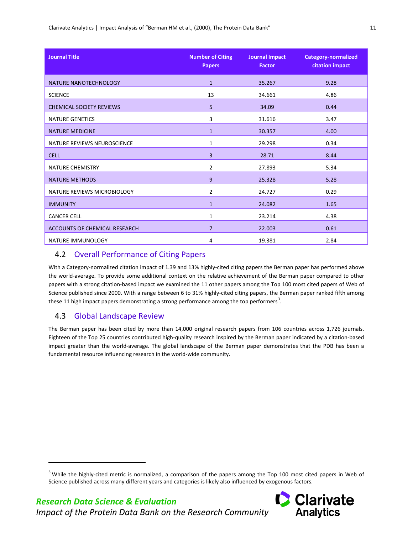| <b>Journal Title</b>                 | <b>Number of Citing</b><br><b>Papers</b> | <b>Journal Impact</b><br><b>Factor</b> | <b>Category-normalized</b><br>citation impact |
|--------------------------------------|------------------------------------------|----------------------------------------|-----------------------------------------------|
| NATURE NANOTECHNOLOGY                | $\mathbf{1}$                             | 35.267                                 | 9.28                                          |
| <b>SCIENCE</b>                       | 13                                       | 34.661                                 | 4.86                                          |
| <b>CHEMICAL SOCIETY REVIEWS</b>      | 5                                        | 34.09                                  | 0.44                                          |
| <b>NATURE GENETICS</b>               | 3                                        | 31.616                                 | 3.47                                          |
| <b>NATURE MEDICINE</b>               | $\mathbf{1}$                             | 30.357                                 | 4.00                                          |
| NATURE REVIEWS NEUROSCIENCE          | $\mathbf{1}$                             | 29.298                                 | 0.34                                          |
| <b>CELL</b>                          | 3                                        | 28.71                                  | 8.44                                          |
| <b>NATURE CHEMISTRY</b>              | 2                                        | 27.893                                 | 5.34                                          |
| <b>NATURE METHODS</b>                | 9                                        | 25.328                                 | 5.28                                          |
| NATURE REVIEWS MICROBIOLOGY          | $\overline{2}$                           | 24.727                                 | 0.29                                          |
| <b>IMMUNITY</b>                      | $\mathbf{1}$                             | 24.082                                 | 1.65                                          |
| <b>CANCER CELL</b>                   | 1                                        | 23.214                                 | 4.38                                          |
| <b>ACCOUNTS OF CHEMICAL RESEARCH</b> | $\overline{7}$                           | 22.003                                 | 0.61                                          |
| NATURE IMMUNOLOGY                    | 4                                        | 19.381                                 | 2.84                                          |

#### <span id="page-14-0"></span>4.2 Overall Performance of Citing Papers

With a Category-normalized citation impact of 1.39 and 13% highly-cited citing papers the Berman paper has performed above the world-average. To provide some additional context on the relative achievement of the Berman paper compared to other papers with a strong citation-based impact we examined the 11 other papers among the Top 100 most cited papers of Web of Science published since 2000. With a range between 6 to 31% highly-cited citing papers, the Berman paper ranked fifth among these 11 high impact papers demonstrating a strong performance among the top performers<sup>[3](#page-14-2)</sup>.

## <span id="page-14-1"></span>4.3 Global Landscape Review

1

The Berman paper has been cited by more than 14,000 original research papers from 106 countries across 1,726 journals. Eighteen of the Top 25 countries contributed high-quality research inspired by the Berman paper indicated by a citation-based impact greater than the world-average. The global landscape of the Berman paper demonstrates that the PDB has been a fundamental resource influencing research in the world-wide community.



<span id="page-14-2"></span><sup>&</sup>lt;sup>3</sup> While the highly-cited metric is normalized, a comparison of the papers among the Top 100 most cited papers in Web of Science published across many different years and categories is likely also influenced by exogenous factors.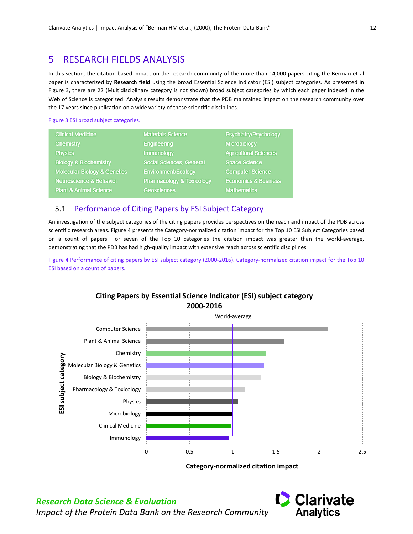# <span id="page-15-0"></span>5 RESEARCH FIELDS ANALYSIS

In this section, the citation-based impact on the research community of the more than 14,000 papers citing the Berman et al paper is characterized by **[Research field](#page-8-4)** using the broad Essential Science Indicator (ESI) subject categories. As presented in [Figure 3,](#page-15-2) there are 22 (Multidisciplinary category is not shown) broad subject categories by which each paper indexed in the Web of Science is categorized. Analysis results demonstrate that the PDB maintained impact on the research community over the 17 years since publication on a wide variety of these scientific disciplines.

#### <span id="page-15-2"></span>Figure 3 ESI broad subject categories.

| <b>Clinical Medicine</b>                | <b>Materials Science</b>             | Psychiatry/Psychology           |
|-----------------------------------------|--------------------------------------|---------------------------------|
| <b>Chemistry</b>                        | <b>Engineering</b>                   | <b>Microbiology</b>             |
| <b>Physics</b>                          | <b>Immunology</b>                    | <b>Agricultural Sciences</b>    |
| <b>Biology &amp; Biochemistry</b>       | <b>Social Sciences, General</b>      | <b>Space Science</b>            |
| <b>Molecular Biology &amp; Genetics</b> | <b>Environment/Ecology</b>           | <b>Computer Science</b>         |
| <b>Neuroscience &amp; Behavior</b>      | <b>Pharmacology &amp; Toxicology</b> | <b>Economics &amp; Business</b> |
| <b>Plant &amp; Animal Science</b>       | <b>Geosciences</b>                   | <b>Mathematics</b>              |

#### <span id="page-15-1"></span>5.1 Performance of Citing Papers by ESI Subject Category

An investigation of the subject categories of the citing papers provides perspectives on the reach and impact of the PDB across scientific research areas. [Figure 4](#page-15-3) presents the Category-normalized citation impact for the Top 10 ESI Subject Categories based on a count of papers. For seven of the Top 10 categories the citation impact was greater than the world-average, demonstrating that the PDB has had high-quality impact with extensive reach across scientific disciplines.

<span id="page-15-3"></span>Figure 4 Performance of citing papers by ESI subject category (2000-2016). Category-normalized citation impact for the Top 10 ESI based on a count of papers.



#### **Citing Papers by Essential Science Indicator (ESI) subject category 2000-2016**

**Category-normalized citation impact**

![](_page_15_Picture_12.jpeg)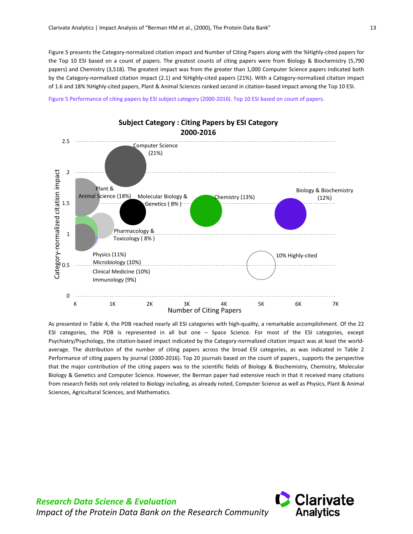[Figure 5](#page-16-0) presents the Category-normalized citation impact and Number of Citing Papers along with the %Highly-cited papers for the Top 10 ESI based on a count of papers. The greatest counts of citing papers were from Biology & Biochemistry (5,790 papers) and Chemistry (3,518). The greatest impact was from the greater than 1,000 Computer Science papers indicated both by the Category-normalized citation impact (2.1) and %Highly-cited papers (21%). With a Category-normalized citation impact of 1.6 and 18% %Highly-cited papers, Plant & Animal Sciences ranked second in citation-based impact among the Top 10 ESI.

<span id="page-16-0"></span>Figure 5 Performance of citing papers by ESI subject category (2000-2016). Top 10 ESI based on count of papers.

![](_page_16_Figure_3.jpeg)

As presented in [Table 4,](#page-17-1) the PDB reached nearly all ESI categories with high-quality, a remarkable accomplishment. Of the 22 ESI categories, the PDB is represented in all but one – Space Science. For most of the ESI categories, except Psychiatry/Psychology, the citation-based impact indicated by the Category-normalized citation impact was at least the worldaverage. The distribution of the number of citing papers across the broad ESI categories, as was indicated in [Table 2](#page-12-1) [Performance of citing papers by journal \(2000-2016\). Top 20 journals based on the count of papers.,](#page-12-1) supports the perspective that the major contribution of the citing papers was to the scientific fields of Biology & Biochemistry, Chemistry, Molecular Biology & Genetics and Computer Science. However, the Berman paper had extensive reach in that it received many citations from research fields not only related to Biology including, as already noted, Computer Science as well as Physics, Plant & Animal Sciences, Agricultural Sciences, and Mathematics.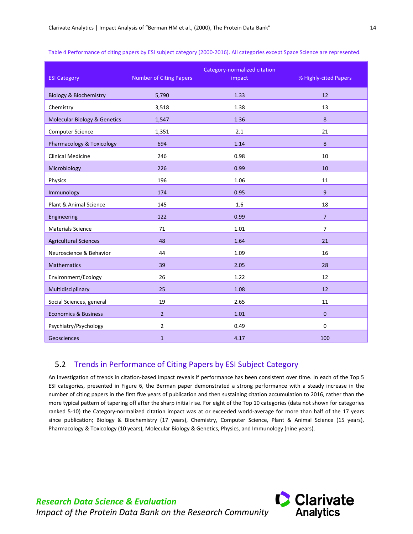<span id="page-17-1"></span>

| Table 4 Performance of citing papers by ESI subject category (2000-2016). All categories except Space Science are represented. |  |  |  |
|--------------------------------------------------------------------------------------------------------------------------------|--|--|--|
|--------------------------------------------------------------------------------------------------------------------------------|--|--|--|

| <b>ESI Category</b>                     | <b>Number of Citing Papers</b> | Category-normalized citation<br>impact | % Highly-cited Papers |
|-----------------------------------------|--------------------------------|----------------------------------------|-----------------------|
| <b>Biology &amp; Biochemistry</b>       | 5,790                          | 1.33                                   | 12                    |
| Chemistry                               | 3,518                          | 1.38                                   | 13                    |
| <b>Molecular Biology &amp; Genetics</b> | 1,547                          | 1.36                                   | 8                     |
| <b>Computer Science</b>                 | 1,351                          | 2.1                                    | 21                    |
| Pharmacology & Toxicology               | 694                            | 1.14                                   | 8                     |
| <b>Clinical Medicine</b>                | 246                            | 0.98                                   | 10                    |
| Microbiology                            | 226                            | 0.99                                   | 10                    |
| Physics                                 | 196                            | 1.06                                   | 11                    |
| Immunology                              | 174                            | 0.95                                   | $\overline{9}$        |
| Plant & Animal Science                  | 145                            | 1.6                                    | 18                    |
| Engineering                             | 122                            | 0.99                                   | $\overline{7}$        |
| <b>Materials Science</b>                | 71                             | 1.01                                   | $\overline{7}$        |
| <b>Agricultural Sciences</b>            | 48                             | 1.64                                   | 21                    |
| Neuroscience & Behavior                 | 44                             | 1.09                                   | 16                    |
| <b>Mathematics</b>                      | 39                             | 2.05                                   | 28                    |
| Environment/Ecology                     | 26                             | 1.22                                   | 12                    |
| Multidisciplinary                       | 25                             | 1.08                                   | 12                    |
| Social Sciences, general                | 19                             | 2.65                                   | 11                    |
| <b>Economics &amp; Business</b>         | 2 <sup>1</sup>                 | 1.01                                   | $\mathbf{0}$          |
| Psychiatry/Psychology                   | $\overline{2}$                 | 0.49                                   | $\mathbf 0$           |
| Geosciences                             | $\mathbf{1}$                   | 4.17                                   | 100                   |

## <span id="page-17-0"></span>5.2 Trends in Performance of Citing Papers by ESI Subject Category

*Research Data Science & Evaluation*

An investigation of trends in citation-based impact reveals if performance has been consistent over time. In each of the Top 5 ESI categories, presented in [Figure 6,](#page-18-0) the Berman paper demonstrated a strong performance with a steady increase in the number of citing papers in the first five years of publication and then sustaining citation accumulation to 2016, rather than the more typical pattern of tapering off after the sharp initial rise. For eight of the Top 10 categories (data not shown for categories ranked 5-10) the Category-normalized citation impact was at or exceeded world-average for more than half of the 17 years since publication; Biology & Biochemistry (17 years), Chemistry, Computer Science, Plant & Animal Science (15 years), Pharmacology & Toxicology (10 years), Molecular Biology & Genetics, Physics, and Immunology (nine years).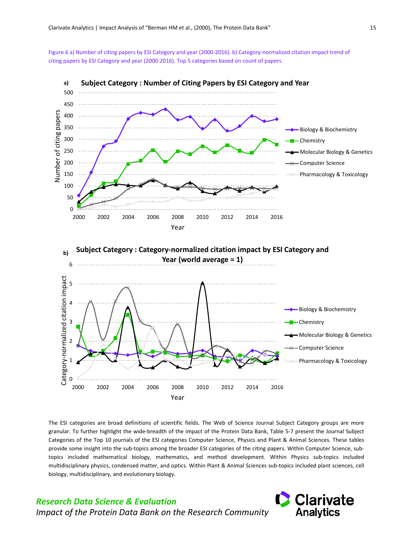<span id="page-18-0"></span>Figure 6 a) Number of citing papers by ESI Category and year (2000-2016). b) Category-normalized citation impact trend of citing papers by ESI Category and year (2000-2016). Top 5 categories based on count of papers.

![](_page_18_Figure_2.jpeg)

The ESI categories are broad definitions of scientific fields. The Web of Science Journal Subject Category groups are more granular. To further highlight the wide-breadth of the impact of the Protein Data Bank, [Table 5-](#page-19-0)7 present the Journal Subject Categories of the Top 10 journals of the ESI categories Computer Science, Physics and Plant & Animal Sciences. These tables provide some insight into the sub-topics among the broader ESI categories of the citing papers. Within Computer Science, subtopics included mathematical biology, mathematics, and method development. Within Physics sub-topics included multidisciplinary physics, condensed matter, and optics. Within Plant & Animal Sciences sub-topics included plant sciences, cell biology, multidisciplinary, and evolutionary biology.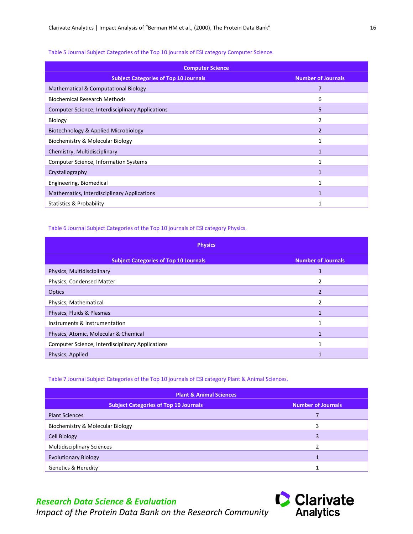#### <span id="page-19-0"></span>Table 5 Journal Subject Categories of the Top 10 journals of ESI category Computer Science.

| <b>Computer Science</b>                                                   |                |  |  |  |  |
|---------------------------------------------------------------------------|----------------|--|--|--|--|
| <b>Subject Categories of Top 10 Journals</b><br><b>Number of Journals</b> |                |  |  |  |  |
| <b>Mathematical &amp; Computational Biology</b>                           | 7              |  |  |  |  |
| <b>Biochemical Research Methods</b>                                       | 6              |  |  |  |  |
| <b>Computer Science, Interdisciplinary Applications</b>                   | 5              |  |  |  |  |
| <b>Biology</b>                                                            |                |  |  |  |  |
| Biotechnology & Applied Microbiology                                      | $\overline{2}$ |  |  |  |  |
| Biochemistry & Molecular Biology                                          | 1              |  |  |  |  |
| Chemistry, Multidisciplinary                                              |                |  |  |  |  |
| <b>Computer Science, Information Systems</b>                              | 1              |  |  |  |  |
| Crystallography                                                           | $\mathbf{1}$   |  |  |  |  |
| Engineering, Biomedical                                                   | 1              |  |  |  |  |
| Mathematics, Interdisciplinary Applications                               | 1              |  |  |  |  |
| <b>Statistics &amp; Probability</b>                                       | 1              |  |  |  |  |

#### <span id="page-19-1"></span>Table 6 Journal Subject Categories of the Top 10 journals of ESI category Physics.

| <b>Physics</b>                                          |                           |  |  |
|---------------------------------------------------------|---------------------------|--|--|
| <b>Subject Categories of Top 10 Journals</b>            | <b>Number of Journals</b> |  |  |
| Physics, Multidisciplinary                              | 3                         |  |  |
| Physics, Condensed Matter                               |                           |  |  |
| Optics                                                  | $\mathfrak{p}$            |  |  |
| Physics, Mathematical                                   | $\mathcal{P}$             |  |  |
| Physics, Fluids & Plasmas                               |                           |  |  |
| Instruments & Instrumentation                           |                           |  |  |
| Physics, Atomic, Molecular & Chemical                   |                           |  |  |
| <b>Computer Science, Interdisciplinary Applications</b> |                           |  |  |
| Physics, Applied                                        |                           |  |  |

#### <span id="page-19-2"></span>Table 7 Journal Subject Categories of the Top 10 journals of ESI category Plant & Animal Sciences.

| <b>Plant &amp; Animal Sciences</b>                                        |   |  |  |  |
|---------------------------------------------------------------------------|---|--|--|--|
| <b>Subject Categories of Top 10 Journals</b><br><b>Number of Journals</b> |   |  |  |  |
| <b>Plant Sciences</b>                                                     |   |  |  |  |
| Biochemistry & Molecular Biology                                          | 3 |  |  |  |
| <b>Cell Biology</b>                                                       | 3 |  |  |  |
| <b>Multidisciplinary Sciences</b>                                         | っ |  |  |  |
| <b>Evolutionary Biology</b>                                               |   |  |  |  |
| <b>Genetics &amp; Heredity</b>                                            |   |  |  |  |

# **Clarivate**<br>Analytics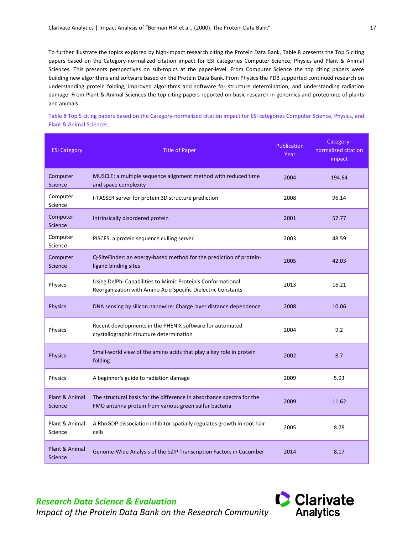To further illustrate the topics explored by high-impact research citing the Protein Data Bank, [Table 8](#page-20-0) presents the Top 5 citing papers based on the Category-normalized citation impact for ESI categories Computer Science, Physics and Plant & Animal Sciences. This presents perspectives on sub-topics at the paper-level. From Computer Science the top citing papers were building new algorithms and software based on the Protein Data Bank. From Physics the PDB supported continued research on understanding protein folding, improved algorithms and software for structure determination, and understanding radiation damage. From Plant & Animal Sciences the top citing papers reported on basic research in genomics and proteomics of plants and animals.

<span id="page-20-0"></span>Table 8 Top 5 citing papers based on the Category-normalized citation impact for ESI categories Computer Science, Physics, and Plant & Animal Sciences.

| <b>ESI Category</b>        | <b>Title of Paper</b>                                                                                                           | Publication<br>Year | Category-<br>normalized citation<br>impact |
|----------------------------|---------------------------------------------------------------------------------------------------------------------------------|---------------------|--------------------------------------------|
| Computer<br><b>Science</b> | MUSCLE: a multiple sequence alignment method with reduced time<br>and space complexity                                          | 2004                | 194.64                                     |
| Computer<br>Science        | I-TASSER server for protein 3D structure prediction                                                                             | 2008                | 96.14                                      |
| Computer<br><b>Science</b> | Intrinsically disordered protein                                                                                                | 2001                | 57.77                                      |
| Computer<br>Science        | PISCES: a protein sequence culling server                                                                                       | 2003                | 48.59                                      |
| Computer<br>Science        | Q-SiteFinder: an energy-based method for the prediction of protein-<br>ligand binding sites                                     | 2005                | 42.03                                      |
| Physics                    | Using DelPhi Capabilities to Mimic Protein's Conformational<br>Reorganization with Amino Acid Specific Dielectric Constants     | 2013                | 16.21                                      |
| <b>Physics</b>             | DNA sensing by silicon nanowire: Charge layer distance dependence                                                               | 2008                | 10.06                                      |
| Physics                    | Recent developments in the PHENIX software for automated<br>crystallographic structure determination                            | 2004                | 9.2                                        |
| <b>Physics</b>             | Small-world view of the amino acids that play a key role in protein<br>folding                                                  | 2002                | 8.7                                        |
| Physics                    | A beginner's guide to radiation damage                                                                                          | 2009                | 5.93                                       |
| Plant & Animal<br>Science  | The structural basis for the difference in absorbance spectra for the<br>FMO antenna protein from various green sulfur bacteria | 2009                | 11.62                                      |
| Plant & Animal<br>Science  | A RhoGDP dissociation inhibitor spatially regulates growth in root hair<br>cells                                                | 2005                | 8.78                                       |
| Plant & Animal<br>Science  | Genome-Wide Analysis of the bZIP Transcription Factors in Cucumber                                                              | 2014                | 8.17                                       |

**Clarivate Analytics**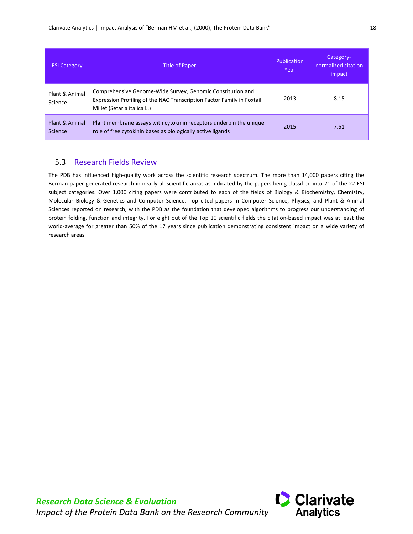| <b>ESI Category</b>       | <b>Title of Paper</b>                                                                                                                                               | Publication<br>Year | Category-<br>normalized citation<br>impact |
|---------------------------|---------------------------------------------------------------------------------------------------------------------------------------------------------------------|---------------------|--------------------------------------------|
| Plant & Animal<br>Science | Comprehensive Genome-Wide Survey, Genomic Constitution and<br>Expression Profiling of the NAC Transcription Factor Family in Foxtail<br>Millet (Setaria italica L.) | 2013                | 8.15                                       |
| Plant & Animal<br>Science | Plant membrane assays with cytokinin receptors underpin the unique<br>role of free cytokinin bases as biologically active ligands                                   | 2015                | 7.51                                       |

## <span id="page-21-0"></span>5.3 Research Fields Review

The PDB has influenced high-quality work across the scientific research spectrum. The more than 14,000 papers citing the Berman paper generated research in nearly all scientific areas as indicated by the papers being classified into 21 of the 22 ESI subject categories. Over 1,000 citing papers were contributed to each of the fields of Biology & Biochemistry, Chemistry, Molecular Biology & Genetics and Computer Science. Top cited papers in Computer Science, Physics, and Plant & Animal Sciences reported on research, with the PDB as the foundation that developed algorithms to progress our understanding of protein folding, function and integrity. For eight out of the Top 10 scientific fields the citation-based impact was at least the world-average for greater than 50% of the 17 years since publication demonstrating consistent impact on a wide variety of research areas.

![](_page_21_Picture_5.jpeg)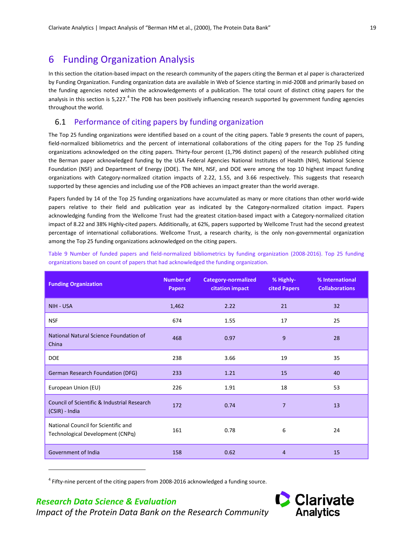## <span id="page-22-0"></span>6 Funding Organization Analysis

In this section the citation-based impact on the research community of the papers citing the Berman et al paper is characterized by Funding Organization. Funding organization data are available in Web of Science starting in mid-2008 and primarily based on the funding agencies noted within the acknowledgements of a publication. The total count of distinct citing papers for the analysis in this section is 5,227.<sup>[4](#page-22-3)</sup> The PDB has been positively influencing research supported by government funding agencies throughout the world.

#### <span id="page-22-1"></span>6.1 Performance of citing papers by funding organization

The Top 25 funding organizations were identified based on a count of the citing papers. [Table 9](#page-22-2) presents the count of papers, field-normalized bibliometrics and the percent of international collaborations of the citing papers for the Top 25 funding organizations acknowledged on the citing papers. Thirty-four percent (1,796 distinct papers) of the research published citing the Berman paper acknowledged funding by the USA Federal Agencies National Institutes of Health (NIH), National Science Foundation (NSF) and Department of Energy (DOE). The NIH, NSF, and DOE were among the top 10 highest impact funding organizations with Category-normalized citation impacts of 2.22, 1.55, and 3.66 respectively. This suggests that research supported by these agencies and including use of the PDB achieves an impact greater than the world average.

Papers funded by 14 of the Top 25 funding organizations have accumulated as many or more citations than other world-wide papers relative to their field and publication year as indicated by the Category-normalized citation impact. Papers acknowledging funding from the Wellcome Trust had the greatest citation-based impact with a Category-normalized citation impact of 8.22 and 38% Highly-cited papers. Additionally, at 62%, papers supported by Wellcome Trust had the second greatest percentage of international collaborations. Wellcome Trust, a research charity, is the only non-governmental organization among the Top 25 funding organizations acknowledged on the citing papers.

<span id="page-22-2"></span>Table 9 Number of funded papers and field-normalized bibliometrics by funding organization (2008-2016). Top 25 funding organizations based on count of papers that had acknowledged the funding organization.

| <b>Funding Organization</b>                                             | <b>Number of</b><br><b>Papers</b> | <b>Category-normalized</b><br>citation impact | % Highly-<br>cited Papers | % International<br><b>Collaborations</b> |
|-------------------------------------------------------------------------|-----------------------------------|-----------------------------------------------|---------------------------|------------------------------------------|
| NIH - USA                                                               | 1,462                             | 2.22                                          | 21                        | 32                                       |
| <b>NSF</b>                                                              | 674                               | 1.55                                          | 17                        | 25                                       |
| National Natural Science Foundation of<br>China                         | 468                               | 0.97                                          | 9                         | 28                                       |
| <b>DOE</b>                                                              | 238                               | 3.66                                          | 19                        | 35                                       |
| <b>German Research Foundation (DFG)</b>                                 | 233                               | 1.21                                          | 15                        | 40                                       |
| European Union (EU)                                                     | 226                               | 1.91                                          | 18                        | 53                                       |
| Council of Scientific & Industrial Research<br>(CSIR) - India           | 172                               | 0.74                                          | 7                         | 13                                       |
| National Council for Scientific and<br>Technological Development (CNPq) | 161                               | 0.78                                          | 6                         | 24                                       |
| Government of India                                                     | 158                               | 0.62                                          | $\overline{4}$            | 15                                       |

 $4$  Fifty-nine percent of the citing papers from 2008-2016 acknowledged a funding source.

## <span id="page-22-3"></span>*Research Data Science & Evaluation*

1

![](_page_22_Picture_11.jpeg)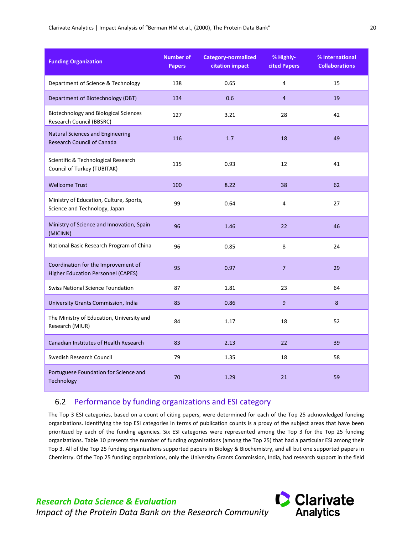#### Clarivate Analytics | Impact Analysis of "Berman HM et al., (2000), The Protein Data Bank" 20

| <b>Funding Organization</b>                                                      | <b>Number of</b><br><b>Papers</b> | <b>Category-normalized</b><br>citation impact | % Highly-<br>cited Papers | % International<br><b>Collaborations</b> |
|----------------------------------------------------------------------------------|-----------------------------------|-----------------------------------------------|---------------------------|------------------------------------------|
| Department of Science & Technology                                               | 138                               | 0.65                                          | 4                         | 15                                       |
| Department of Biotechnology (DBT)                                                | 134                               | 0.6                                           | $\overline{4}$            | 19                                       |
| <b>Biotechnology and Biological Sciences</b><br>Research Council (BBSRC)         | 127                               | 3.21                                          | 28                        | 42                                       |
| Natural Sciences and Engineering<br><b>Research Council of Canada</b>            | 116                               | 1.7                                           | 18                        | 49                                       |
| Scientific & Technological Research<br>Council of Turkey (TUBITAK)               | 115                               | 0.93                                          | 12                        | 41                                       |
| <b>Wellcome Trust</b>                                                            | 100                               | 8.22                                          | 38                        | 62                                       |
| Ministry of Education, Culture, Sports,<br>Science and Technology, Japan         | 99                                | 0.64                                          | 4                         | 27                                       |
| Ministry of Science and Innovation, Spain<br>(MICINN)                            | 96                                | 1.46                                          | 22                        | 46                                       |
| National Basic Research Program of China                                         | 96                                | 0.85                                          | 8                         | 24                                       |
| Coordination for the Improvement of<br><b>Higher Education Personnel (CAPES)</b> | 95                                | 0.97                                          | $\overline{7}$            | 29                                       |
| <b>Swiss National Science Foundation</b>                                         | 87                                | 1.81                                          | 23                        | 64                                       |
| University Grants Commission, India                                              | 85                                | 0.86                                          | $\boldsymbol{9}$          | 8                                        |
| The Ministry of Education, University and<br>Research (MIUR)                     | 84                                | 1.17                                          | 18                        | 52                                       |
| Canadian Institutes of Health Research                                           | 83                                | 2.13                                          | 22                        | 39                                       |
| Swedish Research Council                                                         | 79                                | 1.35                                          | 18                        | 58                                       |
| Portuguese Foundation for Science and<br>Technology                              | 70                                | 1.29                                          | 21                        | 59                                       |

#### <span id="page-23-0"></span>6.2 Performance by funding organizations and ESI category

The Top 3 ESI categories, based on a count of citing papers, were determined for each of the Top 25 acknowledged funding organizations. Identifying the top ESI categories in terms of publication counts is a proxy of the subject areas that have been prioritized by each of the funding agencies. Six ESI categories were represented among the Top 3 for the Top 25 funding organizations[. Table 10](#page-24-1) presents the number of funding organizations (among the Top 25) that had a particular ESI among their Top 3. All of the Top 25 funding organizations supported papers in Biology & Biochemistry, and all but one supported papers in Chemistry. Of the Top 25 funding organizations, only the University Grants Commission, India, had research support in the field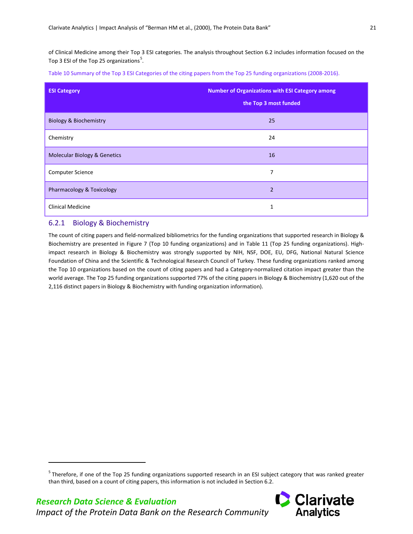<span id="page-24-3"></span>of Clinical Medicine among their Top 3 ESI categories. The analysis throughout Section 6.2 includes information focused on the Top 3 ESI of the Top 2[5](#page-24-2) organizations<sup>5</sup>.

<span id="page-24-1"></span>Table 10 Summary of the Top 3 ESI Categories of the citing papers from the Top 25 funding organizations (2008-2016).

| <b>ESI Category</b>                     | <b>Number of Organizations with ESI Category among</b><br>the Top 3 most funded |
|-----------------------------------------|---------------------------------------------------------------------------------|
| <b>Biology &amp; Biochemistry</b>       | 25                                                                              |
| Chemistry                               | 24                                                                              |
| <b>Molecular Biology &amp; Genetics</b> | 16                                                                              |
| <b>Computer Science</b>                 | 7                                                                               |
| Pharmacology & Toxicology               | $\overline{2}$                                                                  |
| <b>Clinical Medicine</b>                | 1                                                                               |

#### <span id="page-24-0"></span>6.2.1 Biology & Biochemistry

<span id="page-24-2"></span>*Research Data Science & Evaluation*

1

*Impact of the Protein Data Bank on the Research Community*

The count of citing papers and field-normalized bibliometrics for the funding organizations that supported research in Biology & Biochemistry are presented in [Figure](#page-25-1) 7 (Top 10 funding organizations) and in [Table 11](#page-25-0) (Top 25 funding organizations). Highimpact research in Biology & Biochemistry was strongly supported by NIH, NSF, DOE, EU, DFG, National Natural Science Foundation of China and the Scientific & Technological Research Council of Turkey. These funding organizations ranked among the Top 10 organizations based on the count of citing papers and had a Category-normalized citation impact greater than the world average. The Top 25 funding organizations supported 77% of the citing papers in Biology & Biochemistry (1,620 out of the 2,116 distinct papers in Biology & Biochemistry with funding organization information).

<sup>&</sup>lt;sup>5</sup> Therefore, if one of the Top 25 funding organizations supported research in an ESI subject category that was ranked greater than third, based on a count of citing papers, this information is not included in Section 6.2.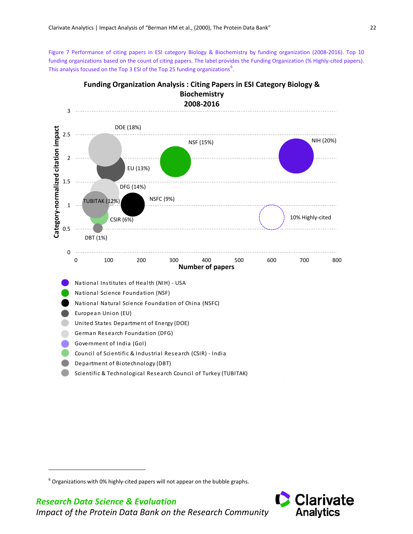<span id="page-25-1"></span>Figure 7 Performance of citing papers in ESI category Biology & Biochemistry by funding organization (2008-2016). Top 10 funding organizations based on the count of citing papers. The label provides the Funding Organization (% Highly-cited papers). This analysis focused on the Top 3 ESI of the Top 25 funding organizations $^6$  $^6$ .

![](_page_25_Figure_2.jpeg)

**Funding Organization Analysis : Citing Papers in ESI Category Biology & Biochemistry**

<span id="page-25-2"></span>*Research Data Science & Evaluation*

<span id="page-25-0"></span>1

![](_page_25_Picture_5.jpeg)

 $^6$  Organizations with 0% highly-cited papers will not appear on the bubble graphs.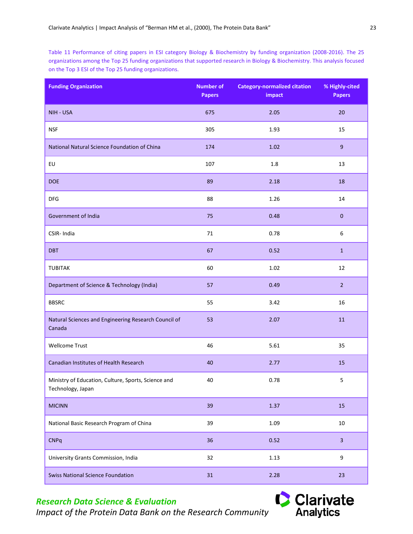Table 11 Performance of citing papers in ESI category Biology & Biochemistry by funding organization (2008-2016). The 25 organizations among the Top 25 funding organizations that supported research in Biology & Biochemistry. This analysis focused on the Top 3 ESI of the Top 25 funding organizations.

| <b>Funding Organization</b>                                              | <b>Number of</b><br><b>Papers</b> | <b>Category-normalized citation</b><br>impact | % Highly-cited<br><b>Papers</b> |
|--------------------------------------------------------------------------|-----------------------------------|-----------------------------------------------|---------------------------------|
| NIH - USA                                                                | 675                               | 2.05                                          | 20                              |
| <b>NSF</b>                                                               | 305                               | 1.93                                          | 15                              |
| National Natural Science Foundation of China                             | 174                               | 1.02                                          | 9                               |
| EU                                                                       | 107                               | $1.8\,$                                       | 13                              |
| <b>DOE</b>                                                               | 89                                | 2.18                                          | 18                              |
| <b>DFG</b>                                                               | 88                                | 1.26                                          | 14                              |
| Government of India                                                      | 75                                | 0.48                                          | $\mathbf{0}$                    |
| CSIR-India                                                               | 71                                | 0.78                                          | $\boldsymbol{6}$                |
| <b>DBT</b>                                                               | 67                                | 0.52                                          | $\mathbf 1$                     |
| <b>TUBITAK</b>                                                           | 60                                | 1.02                                          | 12                              |
| Department of Science & Technology (India)                               | 57                                | 0.49                                          | $2^{\circ}$                     |
| <b>BBSRC</b>                                                             | 55                                | 3.42                                          | 16                              |
| Natural Sciences and Engineering Research Council of<br>Canada           | 53                                | 2.07                                          | 11                              |
| <b>Wellcome Trust</b>                                                    | 46                                | 5.61                                          | 35                              |
| Canadian Institutes of Health Research                                   | 40                                | 2.77                                          | 15                              |
| Ministry of Education, Culture, Sports, Science and<br>Technology, Japan | 40                                | 0.78                                          | 5                               |
| <b>MICINN</b>                                                            | 39                                | 1.37                                          | 15                              |
| National Basic Research Program of China                                 | 39                                | 1.09                                          | $10\,$                          |
| <b>CNPq</b>                                                              | 36                                | 0.52                                          | $\overline{3}$                  |
| University Grants Commission, India                                      | 32                                | 1.13                                          | 9                               |
| <b>Swiss National Science Foundation</b>                                 | 31                                | 2.28                                          | 23                              |

# *Research Data Science & Evaluation*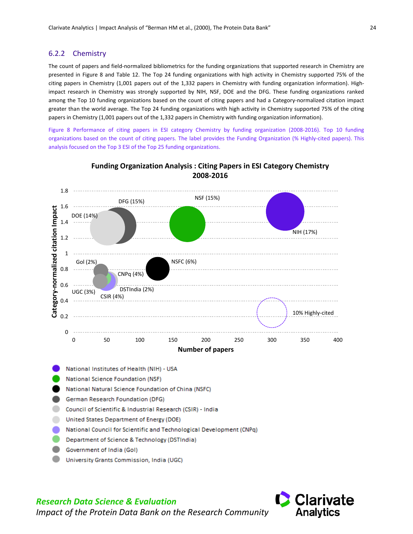#### <span id="page-27-0"></span>6.2.2 Chemistry

The count of papers and field-normalized bibliometrics for the funding organizations that supported research in Chemistry are presented in [Figure 8](#page-27-1) and [Table 12.](#page-27-2) The Top 24 funding organizations with high activity in Chemistry supported 75% of the citing papers in Chemistry (1,001 papers out of the 1,332 papers in Chemistry with funding organization information). Highimpact research in Chemistry was strongly supported by NIH, NSF, DOE and the DFG. These funding organizations ranked among the Top 10 funding organizations based on the count of citing papers and had a Category-normalized citation impact greater than the world average. The Top 24 funding organizations with high activity in Chemistry supported 75% of the citing papers in Chemistry (1,001 papers out of the 1,332 papers in Chemistry with funding organization information).

<span id="page-27-1"></span>Figure 8 Performance of citing papers in ESI category Chemistry by funding organization (2008-2016). Top 10 funding organizations based on the count of citing papers. The label provides the Funding Organization (% Highly-cited papers). This analysis focused on the Top 3 ESI of the Top 25 funding organizations.

![](_page_27_Figure_4.jpeg)

#### **Funding Organization Analysis : Citing Papers in ESI Category Chemistry 2008-2016**

- <span id="page-27-2"></span>National Institutes of Health (NIH) - USA
- National Science Foundation (NSF)
- National Natural Science Foundation of China (NSFC)
- German Research Foundation (DFG)
- Council of Scientific & Industrial Research (CSIR) India
- United States Department of Energy (DOE)
- National Council for Scientific and Technological Development (CNPq)
- Department of Science & Technology (DSTIndia)
- Government of India (Gol)
- University Grants Commission, India (UGC)

![](_page_27_Picture_16.jpeg)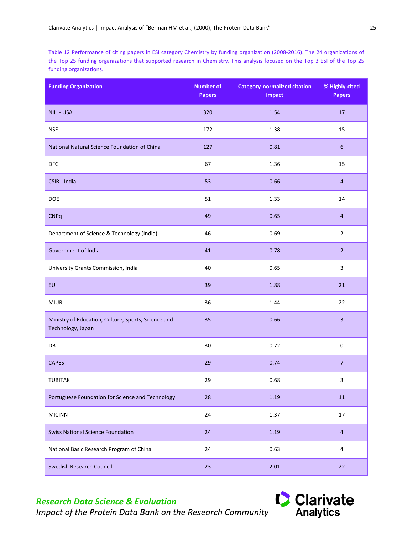<span id="page-28-0"></span>Table 12 Performance of citing papers in ESI category Chemistry by funding organization (2008-2016). The 24 organizations of the Top 25 funding organizations that supported research in Chemistry. This analysis focused on the Top 3 ESI of the Top 25 funding organizations.

| <b>Funding Organization</b>                                              | <b>Number of</b><br><b>Papers</b> | <b>Category-normalized citation</b><br>impact | % Highly-cited<br><b>Papers</b> |
|--------------------------------------------------------------------------|-----------------------------------|-----------------------------------------------|---------------------------------|
| NIH - USA                                                                | 320                               | 1.54                                          | 17                              |
| <b>NSF</b>                                                               | 172                               | 1.38                                          | 15                              |
| National Natural Science Foundation of China                             | 127                               | 0.81                                          | 6                               |
| <b>DFG</b>                                                               | 67                                | 1.36                                          | 15                              |
| CSIR - India                                                             | 53                                | 0.66                                          | $\overline{4}$                  |
| DOE                                                                      | 51                                | 1.33                                          | 14                              |
| <b>CNPq</b>                                                              | 49                                | 0.65                                          | $\overline{a}$                  |
| Department of Science & Technology (India)                               | 46                                | 0.69                                          | $\overline{2}$                  |
| Government of India                                                      | 41                                | 0.78                                          | $\overline{2}$                  |
| University Grants Commission, India                                      | 40                                | 0.65                                          | $\overline{3}$                  |
| EU                                                                       | 39                                | 1.88                                          | 21                              |
| <b>MIUR</b>                                                              | 36                                | 1.44                                          | 22                              |
| Ministry of Education, Culture, Sports, Science and<br>Technology, Japan | 35                                | 0.66                                          | $\overline{\mathbf{3}}$         |
| DBT                                                                      | 30                                | 0.72                                          | $\pmb{0}$                       |
| <b>CAPES</b>                                                             | 29                                | 0.74                                          | $\overline{7}$                  |
| <b>TUBITAK</b>                                                           | 29                                | 0.68                                          | 3                               |
| Portuguese Foundation for Science and Technology                         | 28                                | 1.19                                          | $11\,$                          |
| <b>MICINN</b>                                                            | 24                                | 1.37                                          | 17                              |
| <b>Swiss National Science Foundation</b>                                 | 24                                | 1.19                                          | $\overline{4}$                  |
| National Basic Research Program of China                                 | 24                                | 0.63                                          | 4                               |
| <b>Swedish Research Council</b>                                          | 23                                | 2.01                                          | 22                              |

# *Research Data Science & Evaluation*

![](_page_28_Picture_5.jpeg)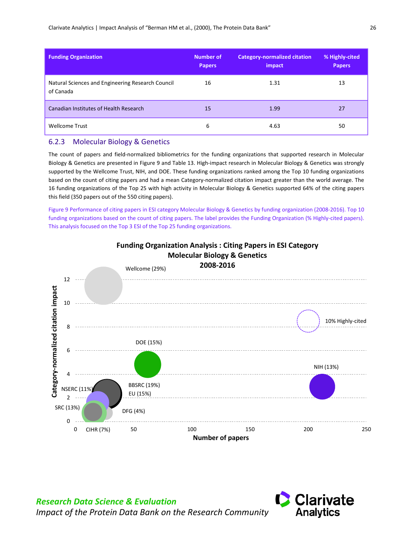| <b>Funding Organization</b>                                    | <b>Number of</b><br><b>Papers</b> | <b>Category-normalized citation</b><br>impact | % Highly-cited<br><b>Papers</b> |
|----------------------------------------------------------------|-----------------------------------|-----------------------------------------------|---------------------------------|
| Natural Sciences and Engineering Research Council<br>of Canada | 16                                | 1.31                                          | 13                              |
| Canadian Institutes of Health Research                         | 15                                | 1.99                                          | 27                              |
| <b>Wellcome Trust</b>                                          | 6                                 | 4.63                                          | 50                              |

#### <span id="page-29-0"></span>6.2.3 Molecular Biology & Genetics

*Research Data Science & Evaluation*

The count of papers and field-normalized bibliometrics for the funding organizations that supported research in Molecular Biology & Genetics are presented in [Figure](#page-29-1) 9 and [Table 13.](#page-30-1) High-impact research in Molecular Biology & Genetics was strongly supported by the Wellcome Trust, NIH, and DOE. These funding organizations ranked among the Top 10 funding organizations based on the count of citing papers and had a mean Category-normalized citation impact greater than the world average. The 16 funding organizations of the Top 25 with high activity in Molecular Biology & Genetics supported 64% of the citing papers this field (350 papers out of the 550 citing papers).

<span id="page-29-1"></span>Figure 9 Performance of citing papers in ESI category Molecular Biology & Genetics by funding organization (2008-2016). Top 10 funding organizations based on the count of citing papers. The label provides the Funding Organization (% Highly-cited papers). This analysis focused on the Top 3 ESI of the Top 25 funding organizations.

![](_page_29_Figure_5.jpeg)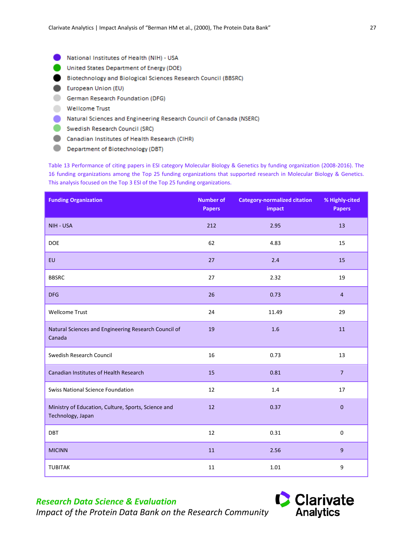- <span id="page-30-1"></span>National Institutes of Health (NIH) - USA
- United States Department of Energy (DOE)
- Biotechnology and Biological Sciences Research Council (BBSRC)
- European Union (EU)
- German Research Foundation (DFG)
- **Wellcome Trust**
- Natural Sciences and Engineering Research Council of Canada (NSERC)
- Swedish Research Council (SRC)
- Canadian Institutes of Health Research (CIHR)
- Department of Biotechnology (DBT)

<span id="page-30-0"></span>Table 13 Performance of citing papers in ESI category Molecular Biology & Genetics by funding organization (2008-2016). The 16 funding organizations among the Top 25 funding organizations that supported research in Molecular Biology & Genetics. This analysis focused on the Top 3 ESI of the Top 25 funding organizations.

| <b>Funding Organization</b>                                              | <b>Number of</b><br><b>Papers</b> | <b>Category-normalized citation</b><br>impact | % Highly-cited<br><b>Papers</b> |
|--------------------------------------------------------------------------|-----------------------------------|-----------------------------------------------|---------------------------------|
| NIH - USA                                                                | 212                               | 2.95                                          | 13                              |
| <b>DOE</b>                                                               | 62                                | 4.83                                          | 15                              |
| EU                                                                       | 27                                | 2.4                                           | 15                              |
| <b>BBSRC</b>                                                             | 27                                | 2.32                                          | 19                              |
| <b>DFG</b>                                                               | 26                                | 0.73                                          | $\overline{4}$                  |
| <b>Wellcome Trust</b>                                                    | 24                                | 11.49                                         | 29                              |
| Natural Sciences and Engineering Research Council of<br>Canada           | 19                                | 1.6                                           | 11                              |
| Swedish Research Council                                                 | 16                                | 0.73                                          | 13                              |
| Canadian Institutes of Health Research                                   | 15                                | 0.81                                          | $\overline{7}$                  |
| <b>Swiss National Science Foundation</b>                                 | 12                                | 1.4                                           | 17                              |
| Ministry of Education, Culture, Sports, Science and<br>Technology, Japan | 12                                | 0.37                                          | $\mathbf{0}$                    |
| <b>DBT</b>                                                               | 12                                | 0.31                                          | $\mathbf 0$                     |
| <b>MICINN</b>                                                            | 11                                | 2.56                                          | 9                               |
| <b>TUBITAK</b>                                                           | 11                                | 1.01                                          | 9                               |

# *Research Data Science & Evaluation*

![](_page_30_Picture_14.jpeg)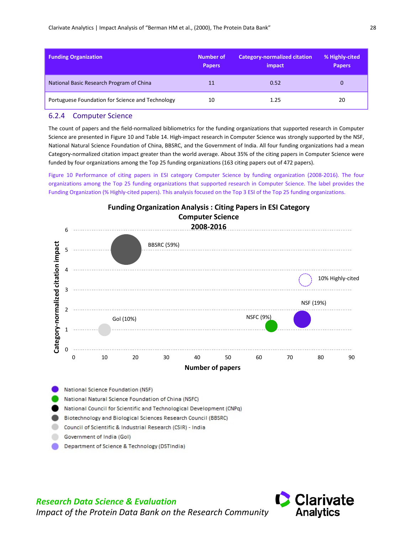| <b>Funding Organization</b>                      | Number of<br><b>Papers</b> | <b>Category-normalized citation</b><br>impact | % Highly-cited<br><b>Papers</b> |
|--------------------------------------------------|----------------------------|-----------------------------------------------|---------------------------------|
| National Basic Research Program of China         | 11                         | 0.52                                          |                                 |
| Portuguese Foundation for Science and Technology | 10                         | 1.25                                          | 20                              |

#### <span id="page-31-0"></span>6.2.4 Computer Science

The count of papers and the field-normalized bibliometrics for the funding organizations that supported research in Computer Science are presented in [Figure 10](#page-31-1) and [Table 14.](#page-32-2) High-impact research in Computer Science was strongly supported by the NSF, National Natural Science Foundation of China, BBSRC, and the Government of India. All four funding organizations had a mean Category-normalized citation impact greater than the world average. About 35% of the citing papers in Computer Science were funded by four organizations among the Top 25 funding organizations (163 citing papers out of 472 papers).

<span id="page-31-1"></span>Figure 10 Performance of citing papers in ESI category Computer Science by funding organization (2008-2016). The four organizations among the Top 25 funding organizations that supported research in Computer Science. The label provides the Funding Organization (% Highly-cited papers). This analysis focused on the Top 3 ESI of the Top 25 funding organizations.

![](_page_31_Figure_5.jpeg)

![](_page_31_Picture_8.jpeg)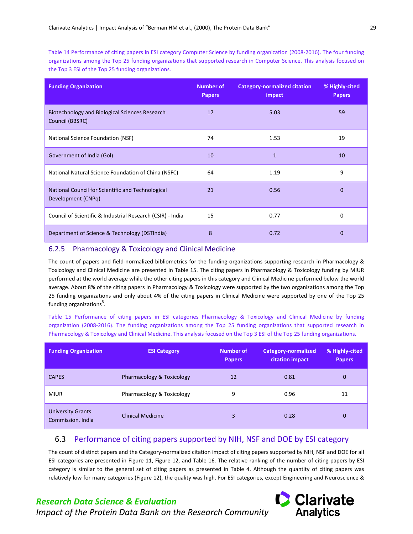<span id="page-32-2"></span>Table 14 Performance of citing papers in ESI category Computer Science by funding organization (2008-2016). The four funding organizations among the Top 25 funding organizations that supported research in Computer Science. This analysis focused on the Top 3 ESI of the Top 25 funding organizations.

| <b>Funding Organization</b>                                             | <b>Number of</b><br><b>Papers</b> | <b>Category-normalized citation</b><br>impact | % Highly-cited<br><b>Papers</b> |
|-------------------------------------------------------------------------|-----------------------------------|-----------------------------------------------|---------------------------------|
| Biotechnology and Biological Sciences Research<br>Council (BBSRC)       | 17                                | 5.03                                          | 59                              |
| National Science Foundation (NSF)                                       | 74                                | 1.53                                          | 19                              |
| Government of India (Gol)                                               | 10                                | $\mathbf{1}$                                  | 10                              |
| National Natural Science Foundation of China (NSFC)                     | 64                                | 1.19                                          | 9                               |
| National Council for Scientific and Technological<br>Development (CNPq) | 21                                | 0.56                                          | $\Omega$                        |
| Council of Scientific & Industrial Research (CSIR) - India              | 15                                | 0.77                                          | 0                               |
| Department of Science & Technology (DSTIndia)                           | 8                                 | 0.72                                          | $\Omega$                        |

#### <span id="page-32-0"></span>6.2.5 Pharmacology & Toxicology and Clinical Medicine

The count of papers and field-normalized bibliometrics for the funding organizations supporting research in Pharmacology & Toxicology and Clinical Medicine are presented in [Table 15.](#page-32-3) The citing papers in Pharmacology & Toxicology funding by MIUR performed at the world average while the other citing papers in this category and Clinical Medicine performed below the world average. About 8% of the citing papers in Pharmacology & Toxicology were supported by the two organizations among the Top 25 funding organizations and only about 4% of the citing papers in Clinical Medicine were supported by one of the Top 25 funding organizations<sup>5</sup>.

<span id="page-32-3"></span>Table 15 Performance of citing papers in ESI categories Pharmacology & Toxicology and Clinical Medicine by funding organization (2008-2016). The funding organizations among the Top 25 funding organizations that supported research in Pharmacology & Toxicology and Clinical Medicine. This analysis focused on the Top 3 ESI of the Top 25 funding organizations.

| <b>Funding Organization</b>                   | <b>ESI Category</b>       | <b>Number of</b><br><b>Papers</b> | Category-normalized<br>citation impact | % Highly-cited<br><b>Papers</b> |
|-----------------------------------------------|---------------------------|-----------------------------------|----------------------------------------|---------------------------------|
| <b>CAPES</b>                                  | Pharmacology & Toxicology | 12                                | 0.81                                   | $\mathbf{0}$                    |
| <b>MIUR</b>                                   | Pharmacology & Toxicology | 9                                 | 0.96                                   | 11                              |
| <b>University Grants</b><br>Commission, India | <b>Clinical Medicine</b>  | 3                                 | 0.28                                   | 0                               |

## <span id="page-32-1"></span>6.3 Performance of citing papers supported by NIH, NSF and DOE by ESI category

The count of distinct papers and the Category-normalized citation impact of citing papers supported by NIH, NSF and DOE for all ESI categories are presented in [Figure 11,](#page-33-0) Figure 12, and [Table 16.](#page-34-0) The relative ranking of the number of citing papers by ESI category is similar to the general set of citing papers as presented in Table 4. Although the quantity of citing papers was relatively low for many categories (Figure 12), the quality was high. For ESI categories, except Engineering and Neuroscience &

![](_page_32_Picture_11.jpeg)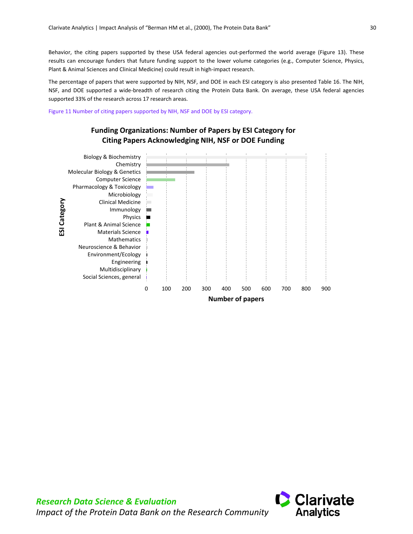Behavior, the citing papers supported by these USA federal agencies out-performed the world average (Figure 13). These results can encourage funders that future funding support to the lower volume categories (e.g., Computer Science, Physics, Plant & Animal Sciences and Clinical Medicine) could result in high-impact research.

The percentage of papers that were supported by NIH, NSF, and DOE in each ESI category is also presented [Table 16.](#page-34-0) The NIH, NSF, and DOE supported a wide-breadth of research citing the Protein Data Bank. On average, these USA federal agencies supported 33% of the research across 17 research areas.

<span id="page-33-0"></span>Figure 11 Number of citing papers supported by NIH, NSF and DOE by ESI category.

![](_page_33_Figure_4.jpeg)

## **Funding Organizations: Number of Papers by ESI Category for Citing Papers Acknowledging NIH, NSF or DOE Funding**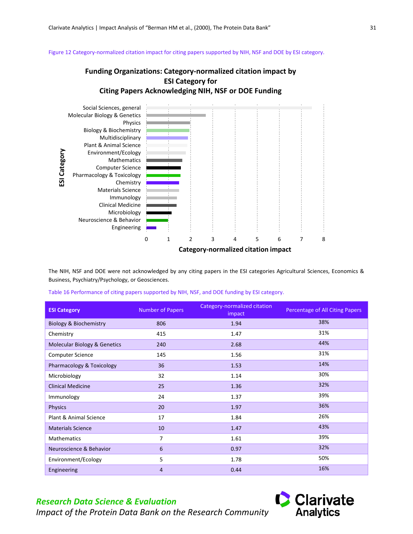<span id="page-34-1"></span>Figure 12 Category-normalized citation impact for citing papers supported by NIH, NSF and DOE by ESI category.

## **Funding Organizations: Category-normalized citation impact by ESI Category for Citing Papers Acknowledging NIH, NSF or DOE Funding**

![](_page_34_Figure_3.jpeg)

The NIH, NSF and DOE were not acknowledged by any citing papers in the ESI categories Agricultural Sciences, Economics & Business, Psychiatry/Psychology, or Geosciences.

<span id="page-34-0"></span>Table 16 Performance of citing papers supported by NIH, NSF, and DOE funding by ESI category.

| <b>ESI Category</b>                     | <b>Number of Papers</b> | <b>Category-normalized citation</b><br>impact | Percentage of All Citing Papers |
|-----------------------------------------|-------------------------|-----------------------------------------------|---------------------------------|
| <b>Biology &amp; Biochemistry</b>       | 806                     | 1.94                                          | 38%                             |
| Chemistry                               | 415                     | 1.47                                          | 31%                             |
| <b>Molecular Biology &amp; Genetics</b> | 240                     | 2.68                                          | 44%                             |
| <b>Computer Science</b>                 | 145                     | 1.56                                          | 31%                             |
| Pharmacology & Toxicology               | 36                      | 1.53                                          | 14%                             |
| Microbiology                            | 32                      | 1.14                                          | 30%                             |
| <b>Clinical Medicine</b>                | 25                      | 1.36                                          | 32%                             |
| Immunology                              | 24                      | 1.37                                          | 39%                             |
| <b>Physics</b>                          | 20                      | 1.97                                          | 36%                             |
| Plant & Animal Science                  | 17                      | 1.84                                          | 26%                             |
| <b>Materials Science</b>                | 10                      | 1.47                                          | 43%                             |
| Mathematics                             | 7                       | 1.61                                          | 39%                             |
| Neuroscience & Behavior                 | 6                       | 0.97                                          | 32%                             |
| Environment/Ecology                     | 5                       | 1.78                                          | 50%                             |
| Engineering                             | $\overline{4}$          | 0.44                                          | 16%                             |

## *Research Data Science & Evaluation*

![](_page_34_Picture_8.jpeg)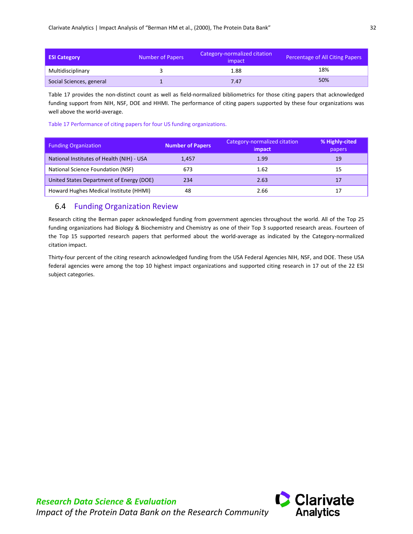| <b>ESI Category</b>      | Number of Papers | Category-normalized citation<br>impact | Percentage of All Citing Papers |
|--------------------------|------------------|----------------------------------------|---------------------------------|
| Multidisciplinary        |                  | 1.88                                   | 18%                             |
| Social Sciences, general |                  | 7.47                                   | 50%                             |

[Table](#page-35-1) 17 provides the non-distinct count as well as field-normalized bibliometrics for those citing papers that acknowledged funding support from NIH, NSF, DOE and HHMI. The performance of citing papers supported by these four organizations was well above the world-average.

<span id="page-35-1"></span>Table 17 Performance of citing papers for four US funding organizations.

| <b>Funding Organization</b>               | <b>Number of Papers</b> | Category-normalized citation<br>impact. | % Highly-cited<br>papers |
|-------------------------------------------|-------------------------|-----------------------------------------|--------------------------|
| National Institutes of Health (NIH) - USA | 1,457                   | 1.99                                    | 19                       |
| National Science Foundation (NSF)         | 673                     | 1.62                                    | 15                       |
| United States Department of Energy (DOE)  | 234                     | 2.63                                    | 17                       |
| Howard Hughes Medical Institute (HHMI)    | 48                      | 2.66                                    | 17                       |

## <span id="page-35-0"></span>6.4 Funding Organization Review

Research citing the Berman paper acknowledged funding from government agencies throughout the world. All of the Top 25 funding organizations had Biology & Biochemistry and Chemistry as one of their Top 3 supported research areas. Fourteen of the Top 15 supported research papers that performed about the world-average as indicated by the Category-normalized citation impact.

Thirty-four percent of the citing research acknowledged funding from the USA Federal Agencies NIH, NSF, and DOE. These USA federal agencies were among the top 10 highest impact organizations and supported citing research in 17 out of the 22 ESI subject categories.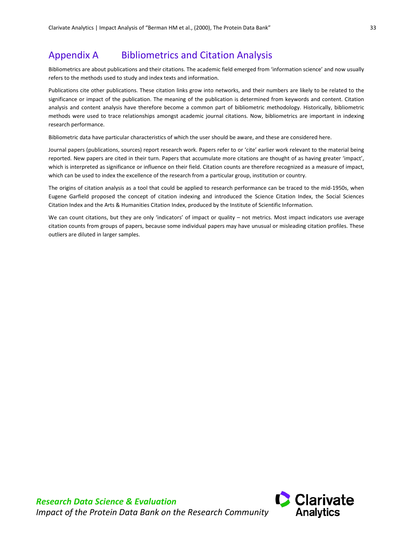# <span id="page-36-0"></span>Appendix A Bibliometrics and Citation Analysis

Bibliometrics are about publications and their citations. The academic field emerged from 'information science' and now usually refers to the methods used to study and index texts and information.

Publications cite other publications. These citation links grow into networks, and their numbers are likely to be related to the significance or impact of the publication. The meaning of the publication is determined from keywords and content. Citation analysis and content analysis have therefore become a common part of bibliometric methodology. Historically, bibliometric methods were used to trace relationships amongst academic journal citations. Now, bibliometrics are important in indexing research performance.

Bibliometric data have particular characteristics of which the user should be aware, and these are considered here.

Journal papers (publications, sources) report research work. Papers refer to or 'cite' earlier work relevant to the material being reported. New papers are cited in their turn. Papers that accumulate more citations are thought of as having greater 'impact', which is interpreted as significance or influence on their field. Citation counts are therefore recognized as a measure of impact, which can be used to index the excellence of the research from a particular group, institution or country.

The origins of citation analysis as a tool that could be applied to research performance can be traced to the mid-1950s, when Eugene Garfield proposed the concept of citation indexing and introduced the Science Citation Index, the Social Sciences Citation Index and the Arts & Humanities Citation Index, produced by the Institute of Scientific Information.

We can count citations, but they are only 'indicators' of impact or quality – not metrics. Most impact indicators use average citation counts from groups of papers, because some individual papers may have unusual or misleading citation profiles. These outliers are diluted in larger samples.

![](_page_36_Picture_8.jpeg)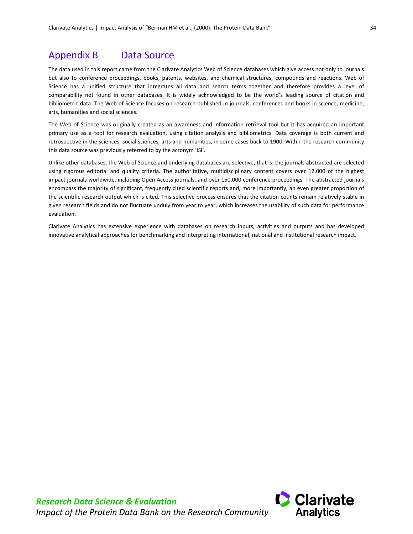## <span id="page-37-0"></span>Appendix B Data Source

The data used in this report came from the Clarivate Analytics Web of Science databases which give access not only to journals but also to conference proceedings, books, patents, websites, and chemical structures, compounds and reactions. Web of Science has a unified structure that integrates all data and search terms together and therefore provides a level of comparability not found in other databases. It is widely acknowledged to be the world's leading source of citation and bibliometric data. The Web of Science focuses on research published in journals, conferences and books in science, medicine, arts, humanities and social sciences.

The Web of Science was originally created as an awareness and information retrieval tool but it has acquired an important primary use as a tool for research evaluation, using citation analysis and bibliometrics. Data coverage is both current and retrospective in the sciences, social sciences, arts and humanities, in some cases back to 1900. Within the research community this data source was previously referred to by the acronym 'ISI'.

Unlike other databases, the Web of Science and underlying databases are selective, that is: the journals abstracted are selected using rigorous editorial and quality criteria. The authoritative, multidisciplinary content covers over 12,000 of the highest impact journals worldwide, including Open Access journals, and over 150,000 conference proceedings. The abstracted journals encompass the majority of significant, frequently cited scientific reports and, more importantly, an even greater proportion of the scientific research output which is cited. This selective process ensures that the citation counts remain relatively stable in given research fields and do not fluctuate unduly from year to year, which increases the usability of such data for performance evaluation.

Clarivate Analytics has extensive experience with databases on research inputs, activities and outputs and has developed innovative analytical approaches for benchmarking and interpreting international, national and institutional research impact.

![](_page_37_Picture_6.jpeg)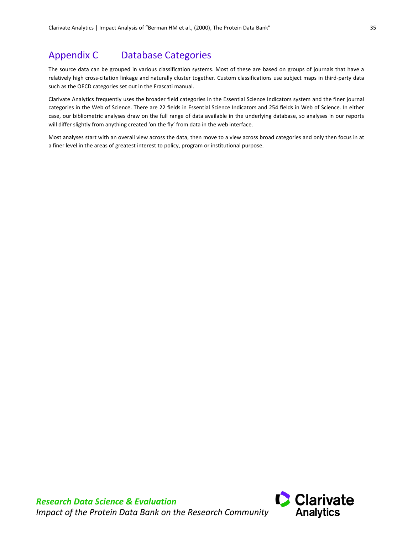# <span id="page-38-0"></span>Appendix C Database Categories

The source data can be grouped in various classification systems. Most of these are based on groups of journals that have a relatively high cross-citation linkage and naturally cluster together. Custom classifications use subject maps in third-party data such as the OECD categories set out in the Frascati manual.

Clarivate Analytics frequently uses the broader field categories in the Essential Science Indicators system and the finer journal categories in the Web of Science. There are 22 fields in Essential Science Indicators and 254 fields in Web of Science. In either case, our bibliometric analyses draw on the full range of data available in the underlying database, so analyses in our reports will differ slightly from anything created 'on the fly' from data in the web interface.

Most analyses start with an overall view across the data, then move to a view across broad categories and only then focus in at a finer level in the areas of greatest interest to policy, program or institutional purpose.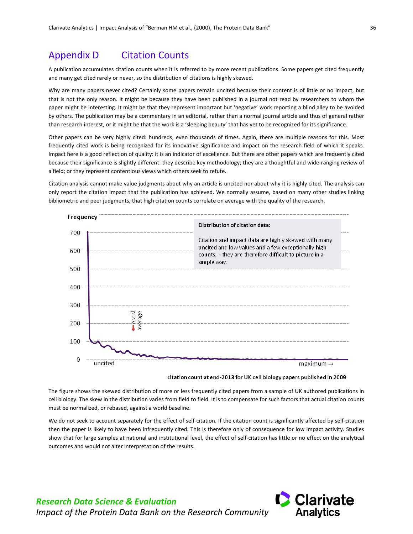# <span id="page-39-0"></span>Appendix D Citation Counts

A publication accumulates citation counts when it is referred to by more recent publications. Some papers get cited frequently and many get cited rarely or never, so the distribution of citations is highly skewed.

Why are many papers never cited? Certainly some papers remain uncited because their content is of little or no impact, but that is not the only reason. It might be because they have been published in a journal not read by researchers to whom the paper might be interesting. It might be that they represent important but 'negative' work reporting a blind alley to be avoided by others. The publication may be a commentary in an editorial, rather than a normal journal article and thus of general rather than research interest, or it might be that the work is a 'sleeping beauty' that has yet to be recognized for its significance.

Other papers can be very highly cited: hundreds, even thousands of times. Again, there are multiple reasons for this. Most frequently cited work is being recognized for its innovative significance and impact on the research field of which it speaks. Impact here is a good reflection of quality: it is an indicator of excellence. But there are other papers which are frequently cited because their significance is slightly different: they describe key methodology; they are a thoughtful and wide-ranging review of a field; or they represent contentious views which others seek to refute.

Citation analysis cannot make value judgments about why an article is uncited nor about why it is highly cited. The analysis can only report the citation impact that the publication has achieved. We normally assume, based on many other studies linking bibliometric and peer judgments, that high citation counts correlate on average with the quality of the research.

![](_page_39_Figure_6.jpeg)

The figure shows the skewed distribution of more or less frequently cited papers from a sample of UK authored publications in

cell biology. The skew in the distribution varies from field to field. It is to compensate for such factors that actual citation counts must be normalized, or rebased, against a world baseline.

We do not seek to account separately for the effect of self-citation. If the citation count is significantly affected by self-citation then the paper is likely to have been infrequently cited. This is therefore only of consequence for low impact activity. Studies show that for large samples at national and institutional level, the effect of self-citation has little or no effect on the analytical outcomes and would not alter interpretation of the results.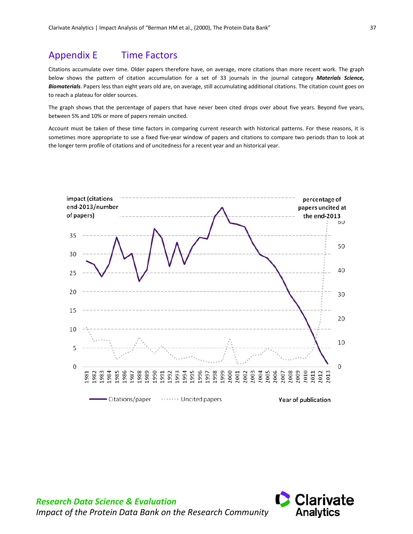# <span id="page-40-0"></span>Appendix E Time Factors

Citations accumulate over time. Older papers therefore have, on average, more citations than more recent work. The graph below shows the pattern of citation accumulation for a set of 33 journals in the journal category *Materials Science, Biomaterials*. Papers less than eight years old are, on average, still accumulating additional citations. The citation count goes on to reach a plateau for older sources.

The graph shows that the percentage of papers that have never been cited drops over about five years. Beyond five years, between 5% and 10% or more of papers remain uncited.

Account must be taken of these time factors in comparing current research with historical patterns. For these reasons, it is sometimes more appropriate to use a fixed five-year window of papers and citations to compare two periods than to look at the longer term profile of citations and of uncitedness for a recent year and an historical year.

![](_page_40_Figure_5.jpeg)

![](_page_40_Picture_6.jpeg)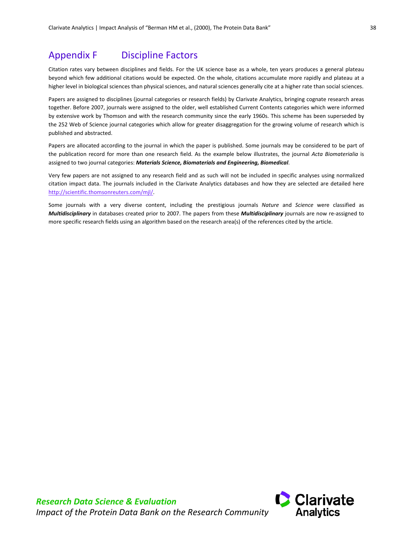# <span id="page-41-0"></span>Appendix F Discipline Factors

Citation rates vary between disciplines and fields. For the UK science base as a whole, ten years produces a general plateau beyond which few additional citations would be expected. On the whole, citations accumulate more rapidly and plateau at a higher level in biological sciences than physical sciences, and natural sciences generally cite at a higher rate than social sciences.

Papers are assigned to disciplines (journal categories or research fields) by Clarivate Analytics, bringing cognate research areas together. Before 2007, journals were assigned to the older, well established Current Contents categories which were informed by extensive work by Thomson and with the research community since the early 1960s. This scheme has been superseded by the 252 Web of Science journal categories which allow for greater disaggregation for the growing volume of research which is published and abstracted.

Papers are allocated according to the journal in which the paper is published. Some journals may be considered to be part of the publication record for more than one research field. As the example below illustrates, the journal *Acta Biomaterialia* is assigned to two journal categories: *Materials Science, Biomaterials and Engineering, Biomedical*.

Very few papers are not assigned to any research field and as such will not be included in specific analyses using normalized citation impact data. The journals included in the Clarivate Analytics databases and how they are selected are detailed here [http://scientific.thomsonreuters.com/mjl/.](http://scientific.thomsonreuters.com/mjl/)

Some journals with a very diverse content, including the prestigious journals *Nature* and *Science* were classified as *Multidisciplinary* in databases created prior to 2007. The papers from these *Multidisciplinary* journals are now re-assigned to more specific research fields using an algorithm based on the research area(s) of the references cited by the article.

![](_page_41_Picture_9.jpeg)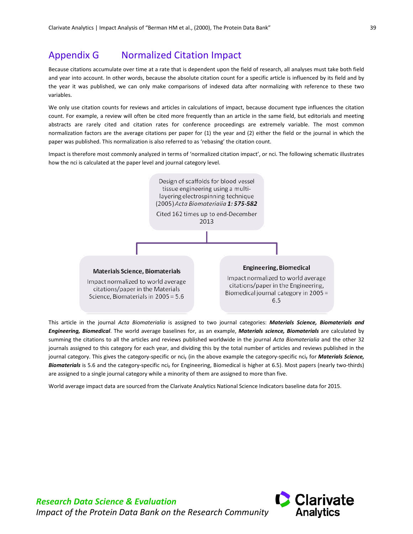# <span id="page-42-0"></span>Appendix G Normalized Citation Impact

Because citations accumulate over time at a rate that is dependent upon the field of research, all analyses must take both field and year into account. In other words, because the absolute citation count for a specific article is influenced by its field and by the year it was published, we can only make comparisons of indexed data after normalizing with reference to these two variables.

We only use citation counts for reviews and articles in calculations of impact, because document type influences the citation count. For example, a review will often be cited more frequently than an article in the same field, but editorials and meeting abstracts are rarely cited and citation rates for conference proceedings are extremely variable. The most common normalization factors are the average citations per paper for (1) the year and (2) either the field or the journal in which the paper was published. This normalization is also referred to as 'rebasing' the citation count.

Impact is therefore most commonly analyzed in terms of 'normalized citation impact', or nci. The following schematic illustrates how the nci is calculated at the paper level and journal category level.

![](_page_42_Figure_5.jpeg)

This article in the journal *Acta Biomaterialia* is assigned to two journal categories: *Materials Science, Biomaterials and Engineering, Biomedical*. The world average baselines for, as an example, *Materials science, Biomaterials* are calculated by summing the citations to all the articles and reviews published worldwide in the journal *Acta Biomaterialia* and the other 32 journals assigned to this category for each year, and dividing this by the total number of articles and reviews published in the journal category. This gives the category-specific or nci<sub>F</sub> (in the above example the category-specific nci<sub>F</sub> for *Materials Science*, Biomaterials is 5.6 and the category-specific nci<sub>F</sub> for Engineering, Biomedical is higher at 6.5). Most papers (nearly two-thirds) are assigned to a single journal category while a minority of them are assigned to more than five.

World average impact data are sourced from the Clarivate Analytics National Science Indicators baseline data for 2015.

![](_page_42_Picture_8.jpeg)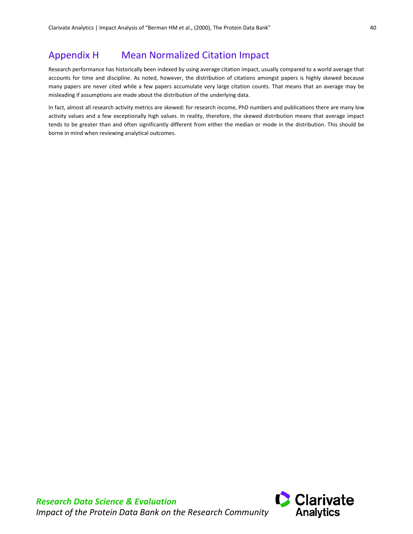# <span id="page-43-0"></span>Appendix H Mean Normalized Citation Impact

Research performance has historically been indexed by using average citation impact, usually compared to a world average that accounts for time and discipline. As noted, however, the distribution of citations amongst papers is highly skewed because many papers are never cited while a few papers accumulate very large citation counts. That means that an average may be misleading if assumptions are made about the distribution of the underlying data.

In fact, almost all research activity metrics are skewed: for research income, PhD numbers and publications there are many low activity values and a few exceptionally high values. In reality, therefore, the skewed distribution means that average impact tends to be greater than and often significantly different from either the median or mode in the distribution. This should be borne in mind when reviewing analytical outcomes.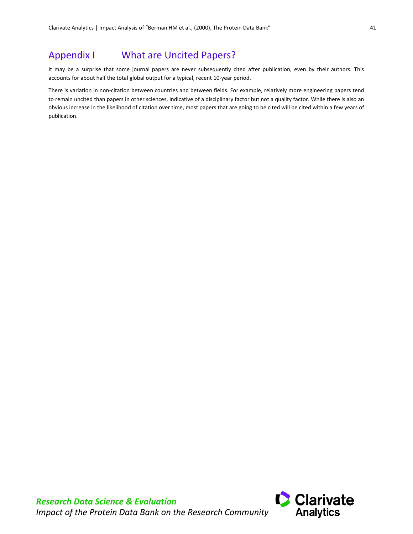# <span id="page-44-0"></span>Appendix I What are Uncited Papers?

It may be a surprise that some journal papers are never subsequently cited after publication, even by their authors. This accounts for about half the total global output for a typical, recent 10-year period.

There is variation in non-citation between countries and between fields. For example, relatively more engineering papers tend to remain uncited than papers in other sciences, indicative of a disciplinary factor but not a quality factor. While there is also an obvious increase in the likelihood of citation over time, most papers that are going to be cited will be cited within a few years of publication.

![](_page_44_Picture_5.jpeg)